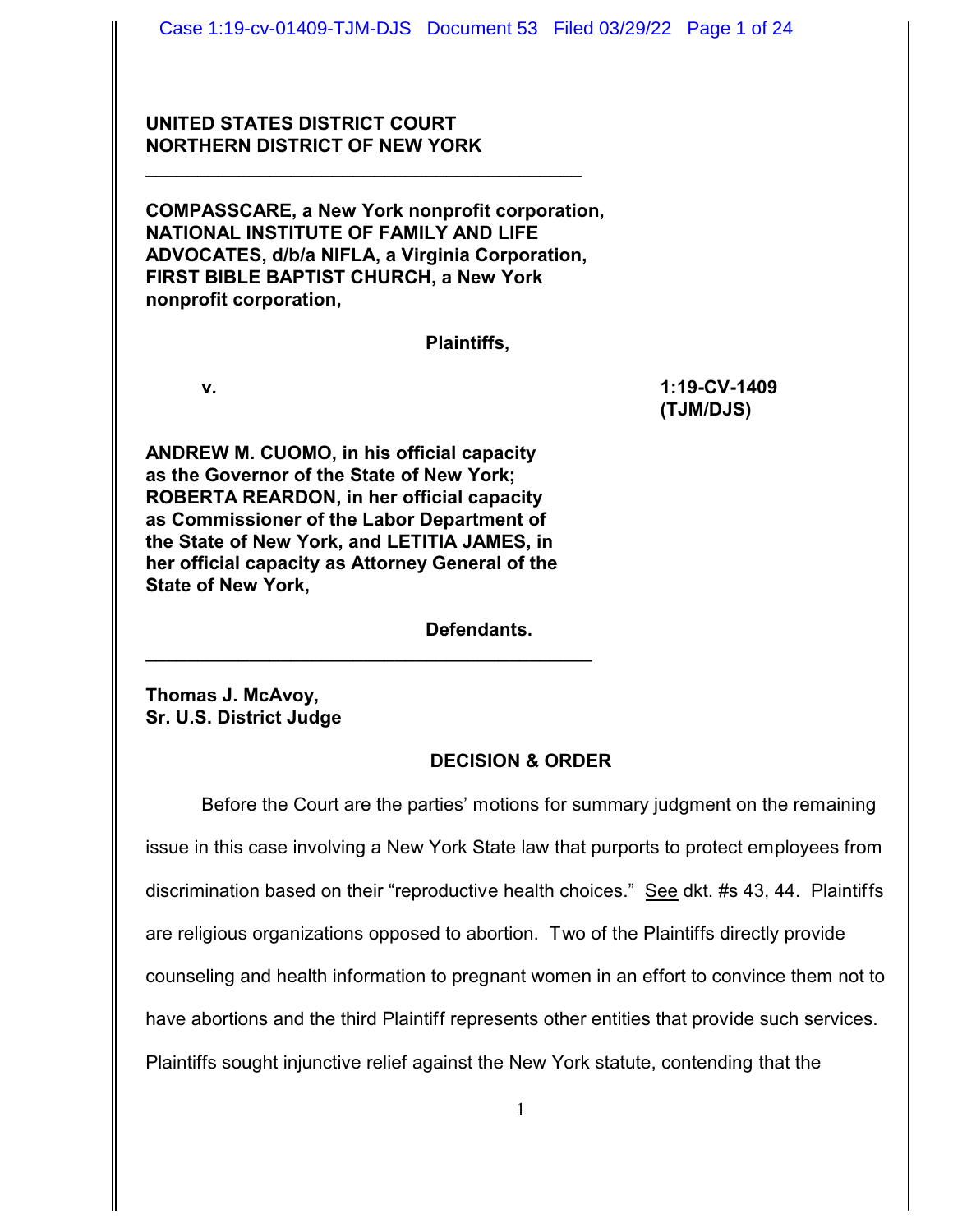# **UNITED STATES DISTRICT COURT NORTHERN DISTRICT OF NEW YORK**

**COMPASSCARE, a New York nonprofit corporation, NATIONAL INSTITUTE OF FAMILY AND LIFE ADVOCATES, d/b/a NIFLA, a Virginia Corporation, FIRST BIBLE BAPTIST CHURCH, a New York nonprofit corporation,**

\_\_\_\_\_\_\_\_\_\_\_\_\_\_\_\_\_\_\_\_\_\_\_\_\_\_\_\_\_\_\_\_\_\_\_\_\_\_\_\_\_\_

**Plaintiffs,**

**v. 1:19-CV-1409 (TJM/DJS)**

**ANDREW M. CUOMO, in his official capacity as the Governor of the State of New York; ROBERTA REARDON, in her official capacity as Commissioner of the Labor Department of the State of New York, and LETITIA JAMES, in her official capacity as Attorney General of the State of New York,**

**\_\_\_\_\_\_\_\_\_\_\_\_\_\_\_\_\_\_\_\_\_\_\_\_\_\_\_\_\_\_\_\_\_\_\_\_\_\_\_\_\_\_\_**

**Defendants.**

**Thomas J. McAvoy, Sr. U.S. District Judge**

# **DECISION & ORDER**

Before the Court are the parties' motions for summary judgment on the remaining issue in this case involving a New York State law that purports to protect employees from discrimination based on their "reproductive health choices." See dkt. #s 43, 44. Plaintiffs are religious organizations opposed to abortion. Two of the Plaintiffs directly provide counseling and health information to pregnant women in an effort to convince them not to have abortions and the third Plaintiff represents other entities that provide such services. Plaintiffs sought injunctive relief against the New York statute, contending that the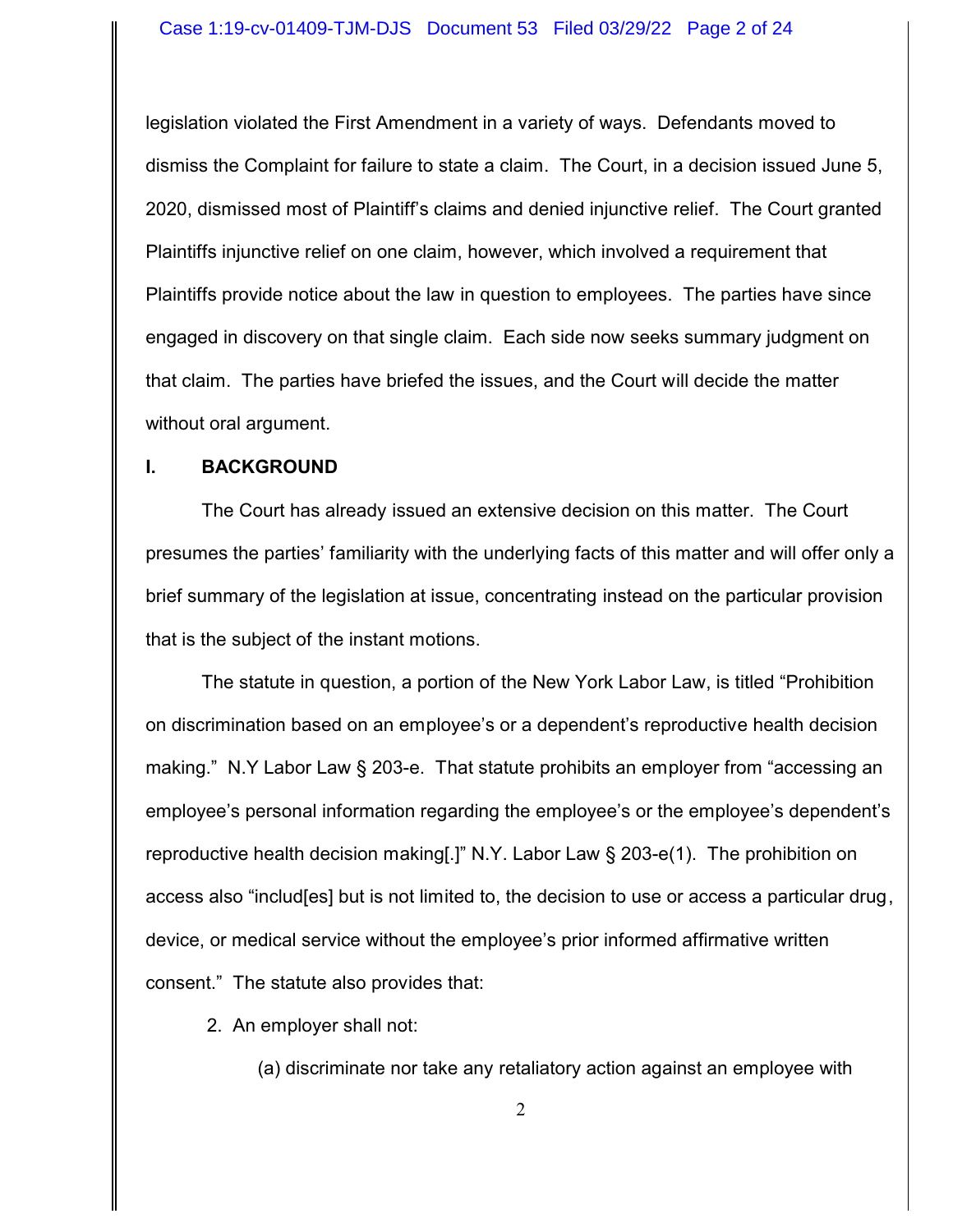legislation violated the First Amendment in a variety of ways. Defendants moved to dismiss the Complaint for failure to state a claim. The Court, in a decision issued June 5, 2020, dismissed most of Plaintiff's claims and denied injunctive relief. The Court granted Plaintiffs injunctive relief on one claim, however, which involved a requirement that Plaintiffs provide notice about the law in question to employees. The parties have since engaged in discovery on that single claim. Each side now seeks summary judgment on that claim. The parties have briefed the issues, and the Court will decide the matter without oral argument.

#### **I. BACKGROUND**

The Court has already issued an extensive decision on this matter. The Court presumes the parties' familiarity with the underlying facts of this matter and will offer only a brief summary of the legislation at issue, concentrating instead on the particular provision that is the subject of the instant motions.

The statute in question, a portion of the New York Labor Law, is titled "Prohibition on discrimination based on an employee's or a dependent's reproductive health decision making." N.Y Labor Law § 203-e. That statute prohibits an employer from "accessing an employee's personal information regarding the employee's or the employee's dependent's reproductive health decision making[.]" N.Y. Labor Law § 203-e(1). The prohibition on access also "includ[es] but is not limited to, the decision to use or access a particular drug, device, or medical service without the employee's prior informed affirmative written consent." The statute also provides that:

2. An employer shall not:

(a) discriminate nor take any retaliatory action against an employee with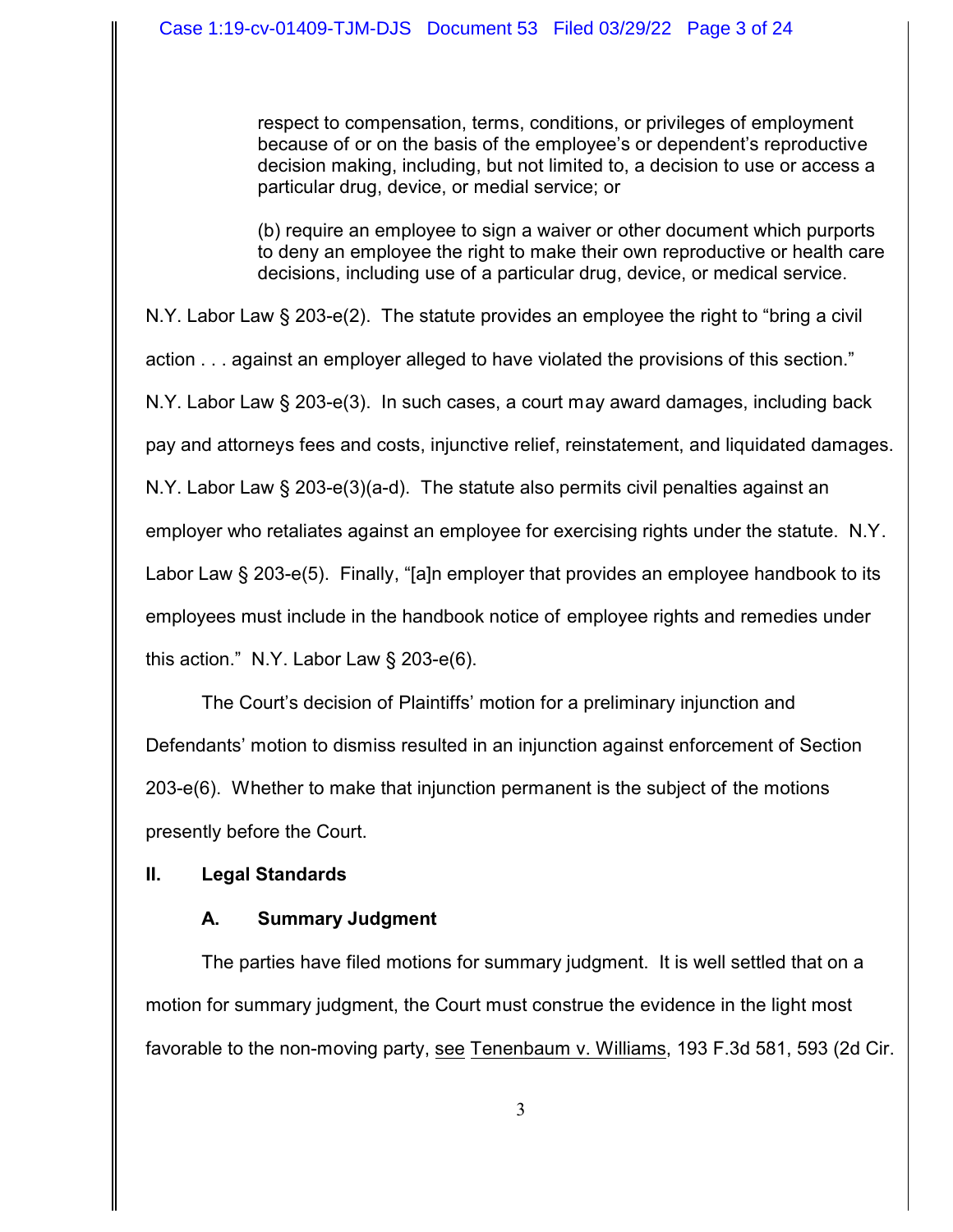respect to compensation, terms, conditions, or privileges of employment because of or on the basis of the employee's or dependent's reproductive decision making, including, but not limited to, a decision to use or access a particular drug, device, or medial service; or

(b) require an employee to sign a waiver or other document which purports to deny an employee the right to make their own reproductive or health care decisions, including use of a particular drug, device, or medical service.

N.Y. Labor Law § 203-e(2). The statute provides an employee the right to "bring a civil action . . . against an employer alleged to have violated the provisions of this section." N.Y. Labor Law § 203-e(3). In such cases, a court may award damages, including back pay and attorneys fees and costs, injunctive relief, reinstatement, and liquidated damages. N.Y. Labor Law § 203-e(3)(a-d). The statute also permits civil penalties against an employer who retaliates against an employee for exercising rights under the statute. N.Y. Labor Law § 203-e(5). Finally, "[a]n employer that provides an employee handbook to its employees must include in the handbook notice of employee rights and remedies under this action." N.Y. Labor Law § 203-e(6).

The Court's decision of Plaintiffs' motion for a preliminary injunction and Defendants' motion to dismiss resulted in an injunction against enforcement of Section 203-e(6). Whether to make that injunction permanent is the subject of the motions presently before the Court.

# **II. Legal Standards**

# **A. Summary Judgment**

The parties have filed motions for summary judgment. It is well settled that on a motion for summary judgment, the Court must construe the evidence in the light most favorable to the non-moving party, see Tenenbaum v. Williams, 193 F.3d 581, 593 (2d Cir.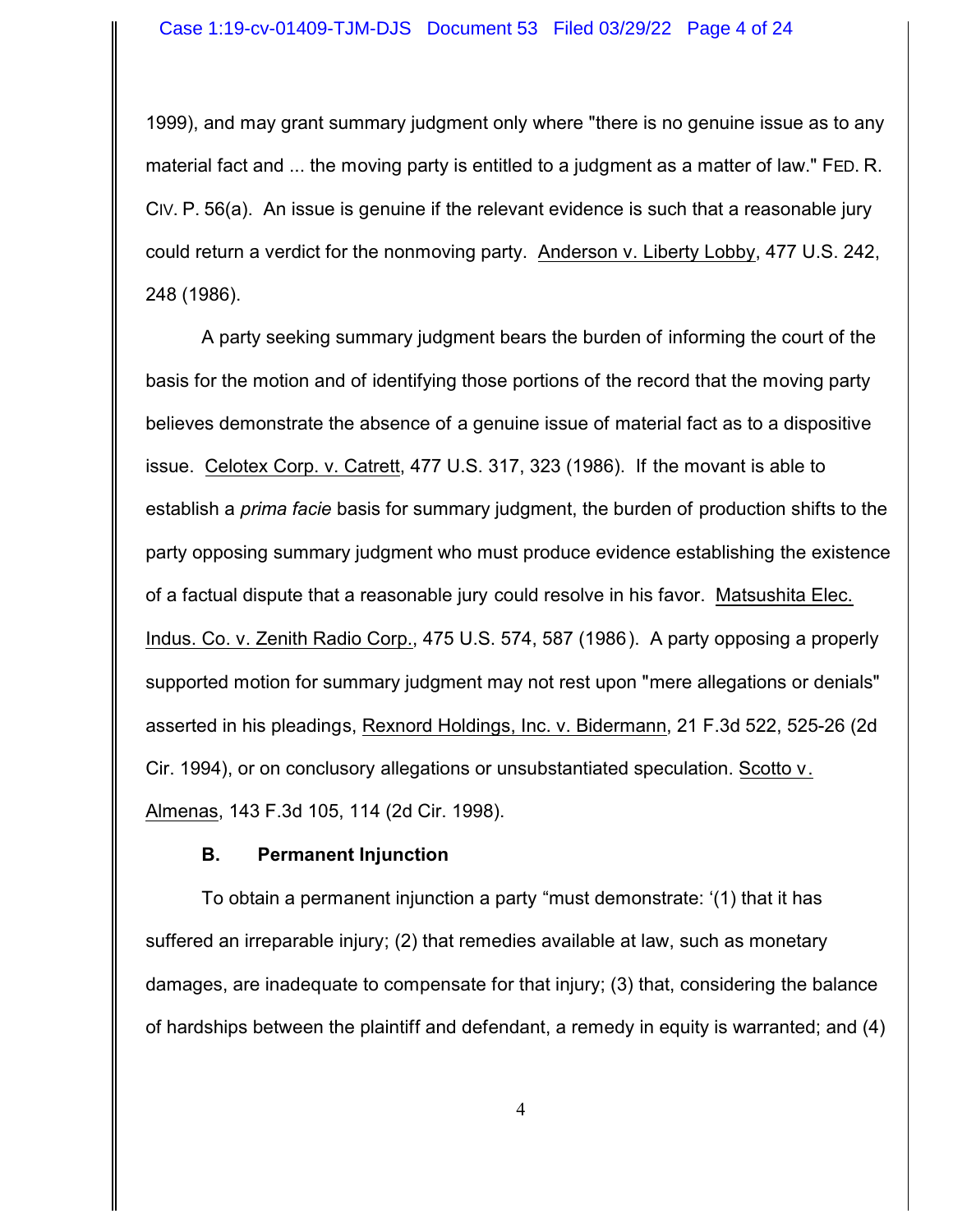1999), and may grant summary judgment only where "there is no genuine issue as to any material fact and ... the moving party is entitled to a judgment as a matter of law." FED. R. CIV. P. 56(a). An issue is genuine if the relevant evidence is such that a reasonable jury could return a verdict for the nonmoving party. Anderson v. Liberty Lobby, 477 U.S. 242, 248 (1986).

A party seeking summary judgment bears the burden of informing the court of the basis for the motion and of identifying those portions of the record that the moving party believes demonstrate the absence of a genuine issue of material fact as to a dispositive issue. Celotex Corp. v. Catrett, 477 U.S. 317, 323 (1986). If the movant is able to establish a *prima facie* basis for summary judgment, the burden of production shifts to the party opposing summary judgment who must produce evidence establishing the existence of a factual dispute that a reasonable jury could resolve in his favor. Matsushita Elec. Indus. Co. v. Zenith Radio Corp., 475 U.S. 574, 587 (1986). A party opposing a properly supported motion for summary judgment may not rest upon "mere allegations or denials" asserted in his pleadings, Rexnord Holdings, Inc. v. Bidermann, 21 F.3d 522, 525-26 (2d Cir. 1994), or on conclusory allegations or unsubstantiated speculation. Scotto v. Almenas, 143 F.3d 105, 114 (2d Cir. 1998).

## **B. Permanent Injunction**

To obtain a permanent injunction a party "must demonstrate: '(1) that it has suffered an irreparable injury; (2) that remedies available at law, such as monetary damages, are inadequate to compensate for that injury; (3) that, considering the balance of hardships between the plaintiff and defendant, a remedy in equity is warranted; and (4)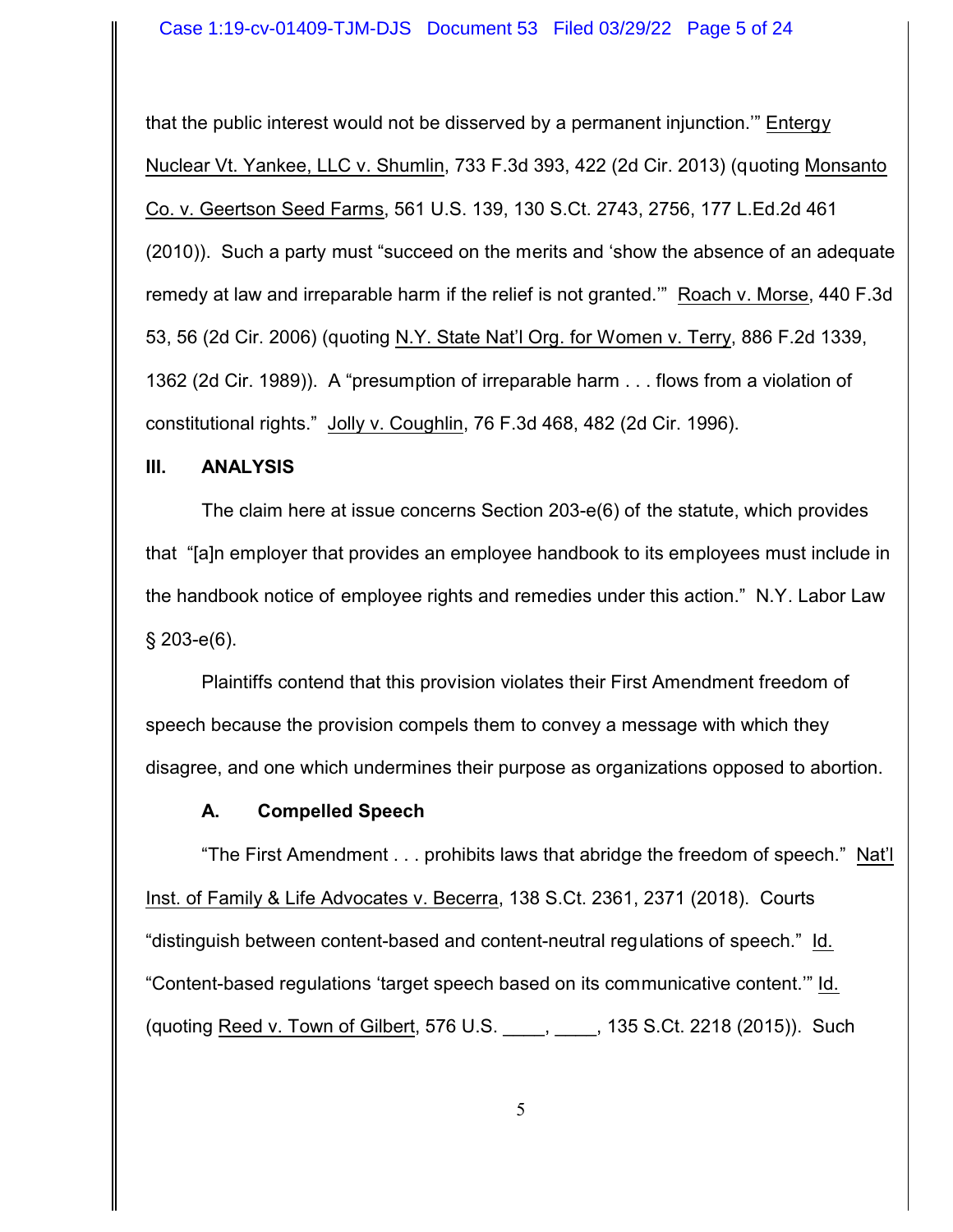that the public interest would not be disserved by a permanent injunction.'" Entergy Nuclear Vt. Yankee, LLC v. Shumlin, 733 F.3d 393, 422 (2d Cir. 2013) (quoting Monsanto Co. v. Geertson Seed Farms, 561 U.S. 139, 130 S.Ct. 2743, 2756, 177 L.Ed.2d 461 (2010)). Such a party must "succeed on the merits and 'show the absence of an adequate remedy at law and irreparable harm if the relief is not granted.'" Roach v. Morse, 440 F.3d 53, 56 (2d Cir. 2006) (quoting N.Y. State Nat'l Org. for Women v. Terry, 886 F.2d 1339, 1362 (2d Cir. 1989)). A "presumption of irreparable harm . . . flows from a violation of constitutional rights." Jolly v. Coughlin, 76 F.3d 468, 482 (2d Cir. 1996).

#### **III. ANALYSIS**

The claim here at issue concerns Section 203-e(6) of the statute, which provides that "[a]n employer that provides an employee handbook to its employees must include in the handbook notice of employee rights and remedies under this action." N.Y. Labor Law § 203-e(6).

Plaintiffs contend that this provision violates their First Amendment freedom of speech because the provision compels them to convey a message with which they disagree, and one which undermines their purpose as organizations opposed to abortion.

## **A. Compelled Speech**

"The First Amendment . . . prohibits laws that abridge the freedom of speech." Nat'l Inst. of Family & Life Advocates v. Becerra, 138 S.Ct. 2361, 2371 (2018). Courts "distinguish between content-based and content-neutral regulations of speech." Id. "Content-based regulations 'target speech based on its communicative content.'" Id. (quoting Reed v. Town of Gilbert, 576 U.S. \_\_\_\_, \_\_\_\_, 135 S.Ct. 2218 (2015)). Such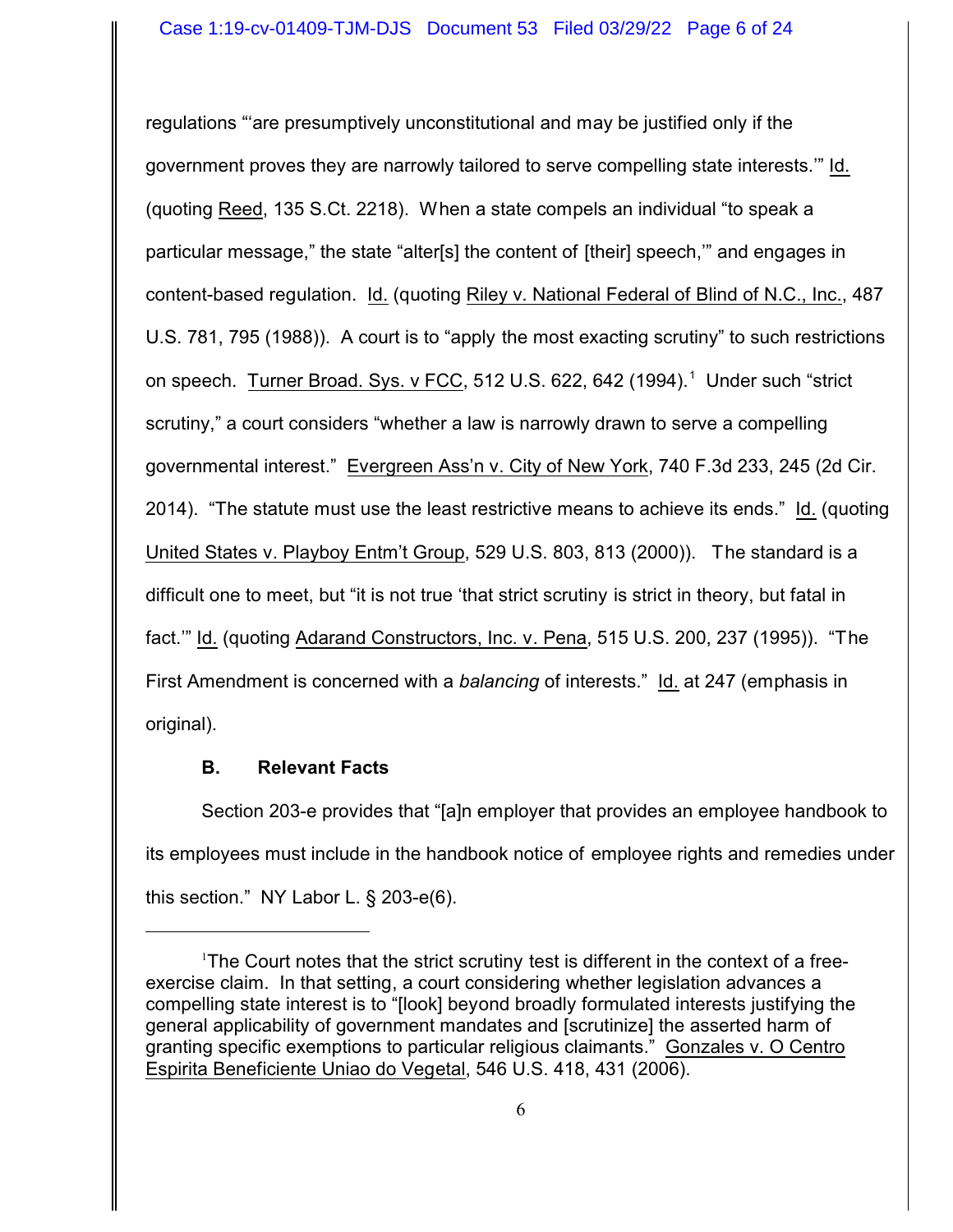regulations "'are presumptively unconstitutional and may be justified only if the government proves they are narrowly tailored to serve compelling state interests.'" Id. (quoting Reed, 135 S.Ct. 2218). When a state compels an individual "to speak a particular message," the state "alter[s] the content of [their] speech,'" and engages in content-based regulation. Id. (quoting Riley v. National Federal of Blind of N.C., Inc., 487 U.S. 781, 795 (1988)). A court is to "apply the most exacting scrutiny" to such restrictions on speech. Turner Broad. Sys. v FCC, 512 U.S. 622, 642 (1994).<sup>1</sup> Under such "strict scrutiny," a court considers "whether a law is narrowly drawn to serve a compelling governmental interest." Evergreen Ass'n v. City of New York, 740 F.3d 233, 245 (2d Cir. 2014). "The statute must use the least restrictive means to achieve its ends." Id. (quoting United States v. Playboy Entm't Group, 529 U.S. 803, 813 (2000)). The standard is a difficult one to meet, but "it is not true 'that strict scrutiny is strict in theory, but fatal in fact.'" Id. (quoting Adarand Constructors, Inc. v. Pena, 515 U.S. 200, 237 (1995)). "The First Amendment is concerned with a *balancing* of interests." Id. at 247 (emphasis in original).

# **B. Relevant Facts**

Section 203-e provides that "[a]n employer that provides an employee handbook to its employees must include in the handbook notice of employee rights and remedies under this section." NY Labor L. § 203-e(6).

<sup>&</sup>lt;sup>1</sup>The Court notes that the strict scrutiny test is different in the context of a freeexercise claim. In that setting, a court considering whether legislation advances a compelling state interest is to "[look] beyond broadly formulated interests justifying the general applicability of government mandates and [scrutinize] the asserted harm of granting specific exemptions to particular religious claimants." Gonzales v. O Centro Espirita Beneficiente Uniao do Vegetal, 546 U.S. 418, 431 (2006).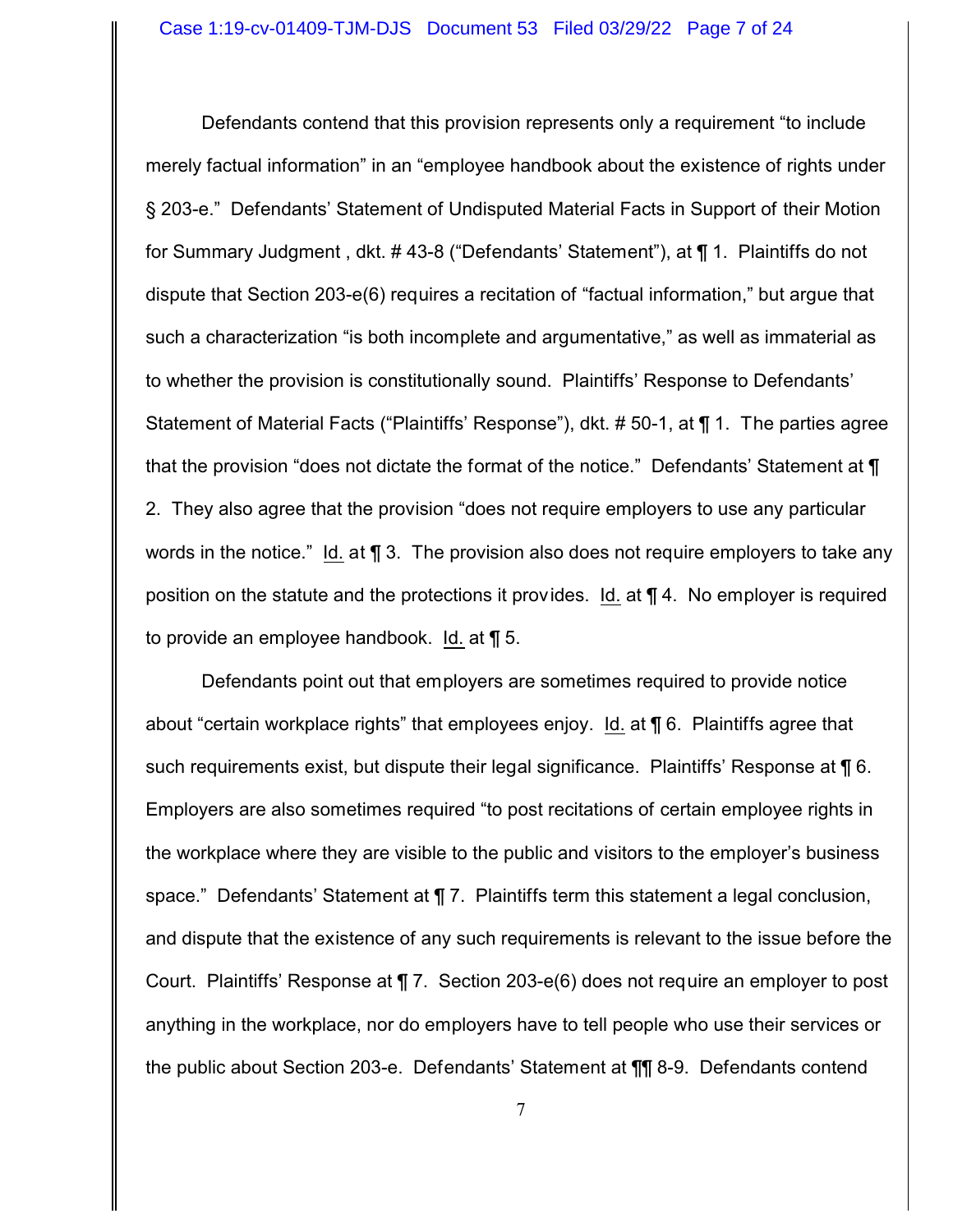Defendants contend that this provision represents only a requirement "to include merely factual information" in an "employee handbook about the existence of rights under § 203-e." Defendants' Statement of Undisputed Material Facts in Support of their Motion for Summary Judgment , dkt. # 43-8 ("Defendants' Statement"), at ¶ 1. Plaintiffs do not dispute that Section 203-e(6) requires a recitation of "factual information," but argue that such a characterization "is both incomplete and argumentative," as well as immaterial as to whether the provision is constitutionally sound. Plaintiffs' Response to Defendants' Statement of Material Facts ("Plaintiffs' Response"), dkt. # 50-1, at ¶ 1. The parties agree that the provision "does not dictate the format of the notice." Defendants' Statement at ¶ 2. They also agree that the provision "does not require employers to use any particular words in the notice." Id. at **\etall** 3. The provision also does not require employers to take any position on the statute and the protections it provides. Id. at ¶ 4. No employer is required to provide an employee handbook. Id. at ¶ 5.

Defendants point out that employers are sometimes required to provide notice about "certain workplace rights" that employees enjoy. Id. at ¶ 6. Plaintiffs agree that such requirements exist, but dispute their legal significance. Plaintiffs' Response at ¶ 6. Employers are also sometimes required "to post recitations of certain employee rights in the workplace where they are visible to the public and visitors to the employer's business space." Defendants' Statement at ¶ 7. Plaintiffs term this statement a legal conclusion, and dispute that the existence of any such requirements is relevant to the issue before the Court. Plaintiffs' Response at ¶ 7. Section 203-e(6) does not require an employer to post anything in the workplace, nor do employers have to tell people who use their services or the public about Section 203-e. Defendants' Statement at ¶¶ 8-9. Defendants contend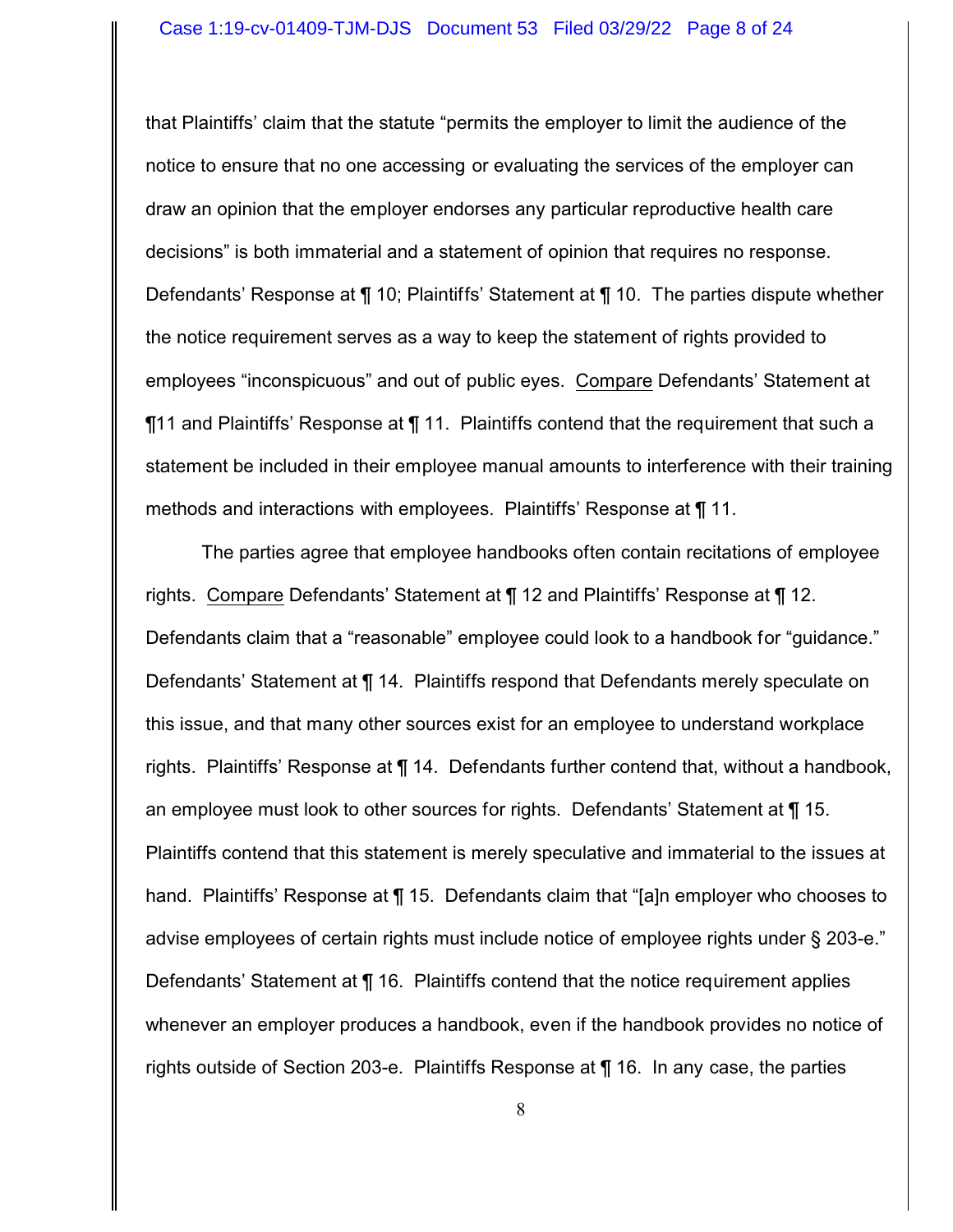that Plaintiffs' claim that the statute "permits the employer to limit the audience of the notice to ensure that no one accessing or evaluating the services of the employer can draw an opinion that the employer endorses any particular reproductive health care decisions" is both immaterial and a statement of opinion that requires no response. Defendants' Response at ¶ 10; Plaintiffs' Statement at ¶ 10. The parties dispute whether the notice requirement serves as a way to keep the statement of rights provided to employees "inconspicuous" and out of public eyes. Compare Defendants' Statement at ¶11 and Plaintiffs' Response at ¶ 11. Plaintiffs contend that the requirement that such a statement be included in their employee manual amounts to interference with their training methods and interactions with employees. Plaintiffs' Response at ¶ 11.

The parties agree that employee handbooks often contain recitations of employee rights. Compare Defendants' Statement at ¶ 12 and Plaintiffs' Response at ¶ 12. Defendants claim that a "reasonable" employee could look to a handbook for "guidance." Defendants' Statement at ¶ 14. Plaintiffs respond that Defendants merely speculate on this issue, and that many other sources exist for an employee to understand workplace rights. Plaintiffs' Response at ¶ 14. Defendants further contend that, without a handbook, an employee must look to other sources for rights. Defendants' Statement at  $\P$  15. Plaintiffs contend that this statement is merely speculative and immaterial to the issues at hand. Plaintiffs' Response at ¶ 15. Defendants claim that "[a]n employer who chooses to advise employees of certain rights must include notice of employee rights under § 203-e." Defendants' Statement at ¶ 16. Plaintiffs contend that the notice requirement applies whenever an employer produces a handbook, even if the handbook provides no notice of rights outside of Section 203-e. Plaintiffs Response at ¶ 16. In any case, the parties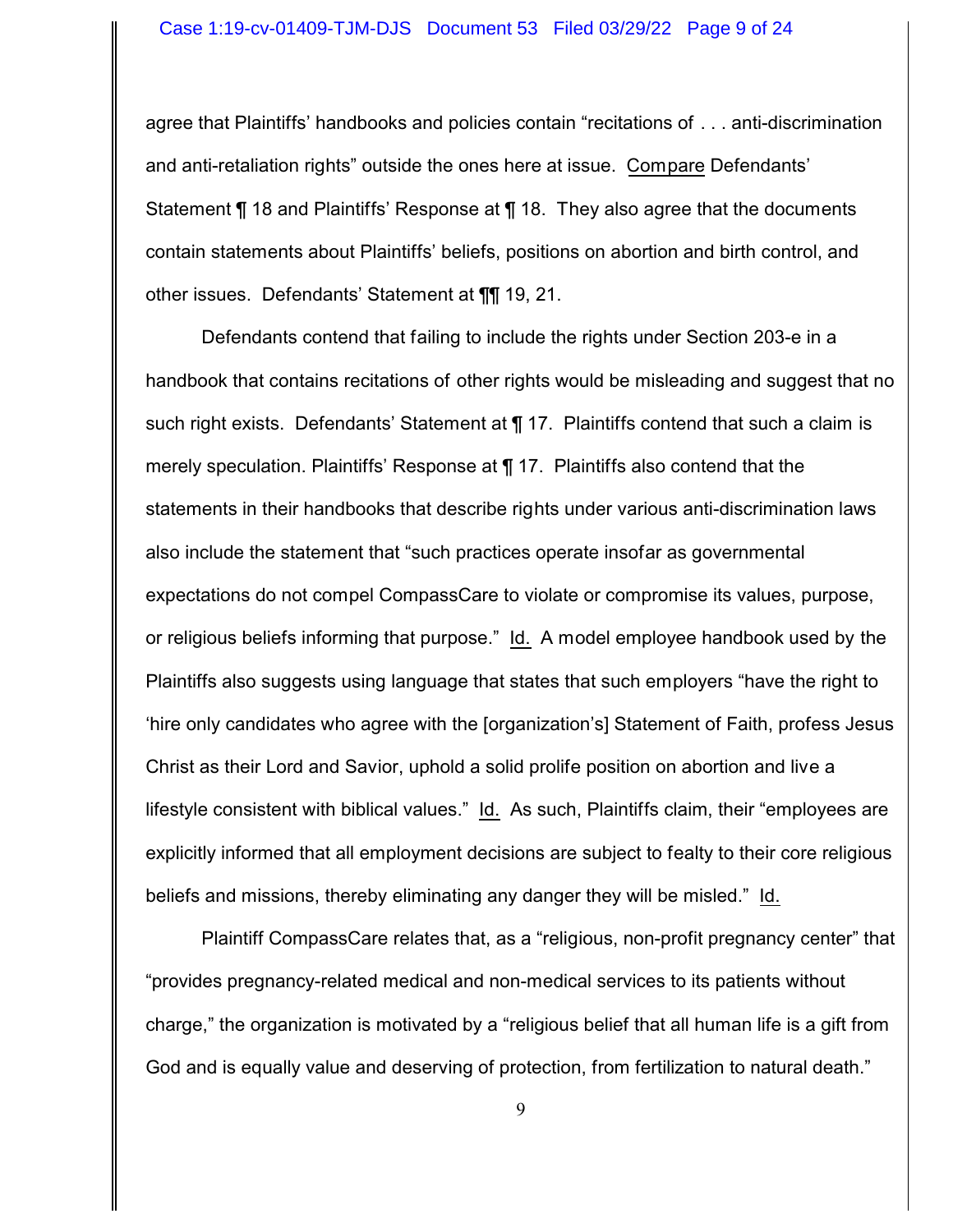#### Case 1:19-cv-01409-TJM-DJS Document 53 Filed 03/29/22 Page 9 of 24

agree that Plaintiffs' handbooks and policies contain "recitations of . . . anti-discrimination and anti-retaliation rights" outside the ones here at issue. Compare Defendants' Statement ¶ 18 and Plaintiffs' Response at ¶ 18. They also agree that the documents contain statements about Plaintiffs' beliefs, positions on abortion and birth control, and other issues. Defendants' Statement at ¶¶ 19, 21.

Defendants contend that failing to include the rights under Section 203-e in a handbook that contains recitations of other rights would be misleading and suggest that no such right exists. Defendants' Statement at ¶ 17. Plaintiffs contend that such a claim is merely speculation. Plaintiffs' Response at ¶ 17. Plaintiffs also contend that the statements in their handbooks that describe rights under various anti-discrimination laws also include the statement that "such practices operate insofar as governmental expectations do not compel CompassCare to violate or compromise its values, purpose, or religious beliefs informing that purpose." Id. A model employee handbook used by the Plaintiffs also suggests using language that states that such employers "have the right to 'hire only candidates who agree with the [organization's] Statement of Faith, profess Jesus Christ as their Lord and Savior, uphold a solid prolife position on abortion and live a lifestyle consistent with biblical values." Id. As such, Plaintiffs claim, their "employees are explicitly informed that all employment decisions are subject to fealty to their core religious beliefs and missions, thereby eliminating any danger they will be misled." Id.

Plaintiff CompassCare relates that, as a "religious, non-profit pregnancy center" that "provides pregnancy-related medical and non-medical services to its patients without charge," the organization is motivated by a "religious belief that all human life is a gift from God and is equally value and deserving of protection, from fertilization to natural death."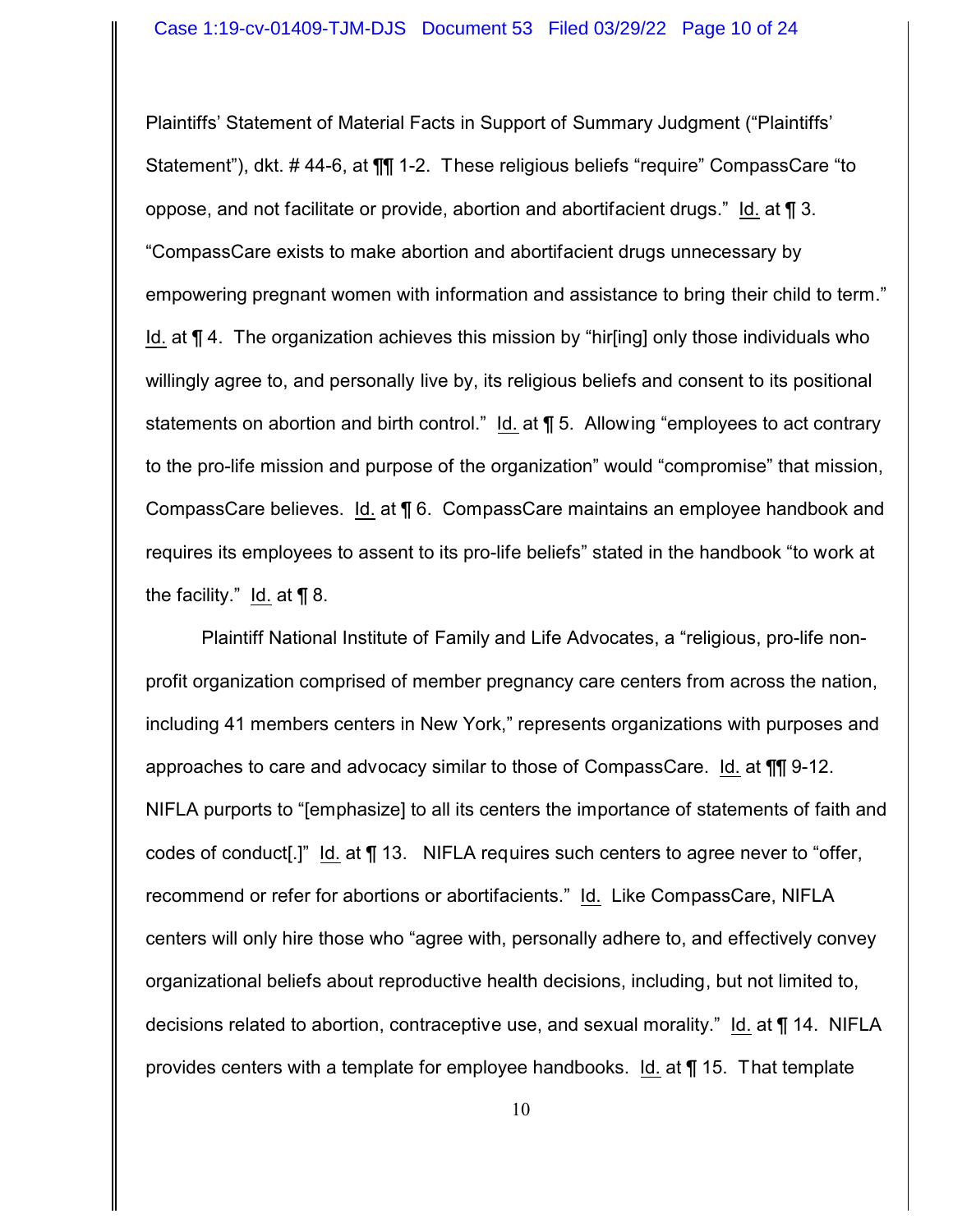Plaintiffs' Statement of Material Facts in Support of Summary Judgment ("Plaintiffs' Statement"), dkt. # 44-6, at ¶¶ 1-2. These religious beliefs "require" CompassCare "to oppose, and not facilitate or provide, abortion and abortifacient drugs." Id. at ¶ 3. "CompassCare exists to make abortion and abortifacient drugs unnecessary by empowering pregnant women with information and assistance to bring their child to term." Id. at ¶ 4. The organization achieves this mission by "hir[ing] only those individuals who willingly agree to, and personally live by, its religious beliefs and consent to its positional statements on abortion and birth control." Id. at ¶ 5. Allowing "employees to act contrary to the pro-life mission and purpose of the organization" would "compromise" that mission, CompassCare believes. Id. at ¶ 6. CompassCare maintains an employee handbook and requires its employees to assent to its pro-life beliefs" stated in the handbook "to work at the facility." Id. at  $\P$  8.

Plaintiff National Institute of Family and Life Advocates, a "religious, pro-life nonprofit organization comprised of member pregnancy care centers from across the nation, including 41 members centers in New York," represents organizations with purposes and approaches to care and advocacy similar to those of CompassCare. Id. at ¶¶ 9-12. NIFLA purports to "[emphasize] to all its centers the importance of statements of faith and codes of conduct[.]" Id. at ¶ 13. NIFLA requires such centers to agree never to "offer, recommend or refer for abortions or abortifacients." Id. Like CompassCare, NIFLA centers will only hire those who "agree with, personally adhere to, and effectively convey organizational beliefs about reproductive health decisions, including, but not limited to, decisions related to abortion, contraceptive use, and sexual morality." Id. at ¶ 14. NIFLA provides centers with a template for employee handbooks. Id. at ¶ 15. That template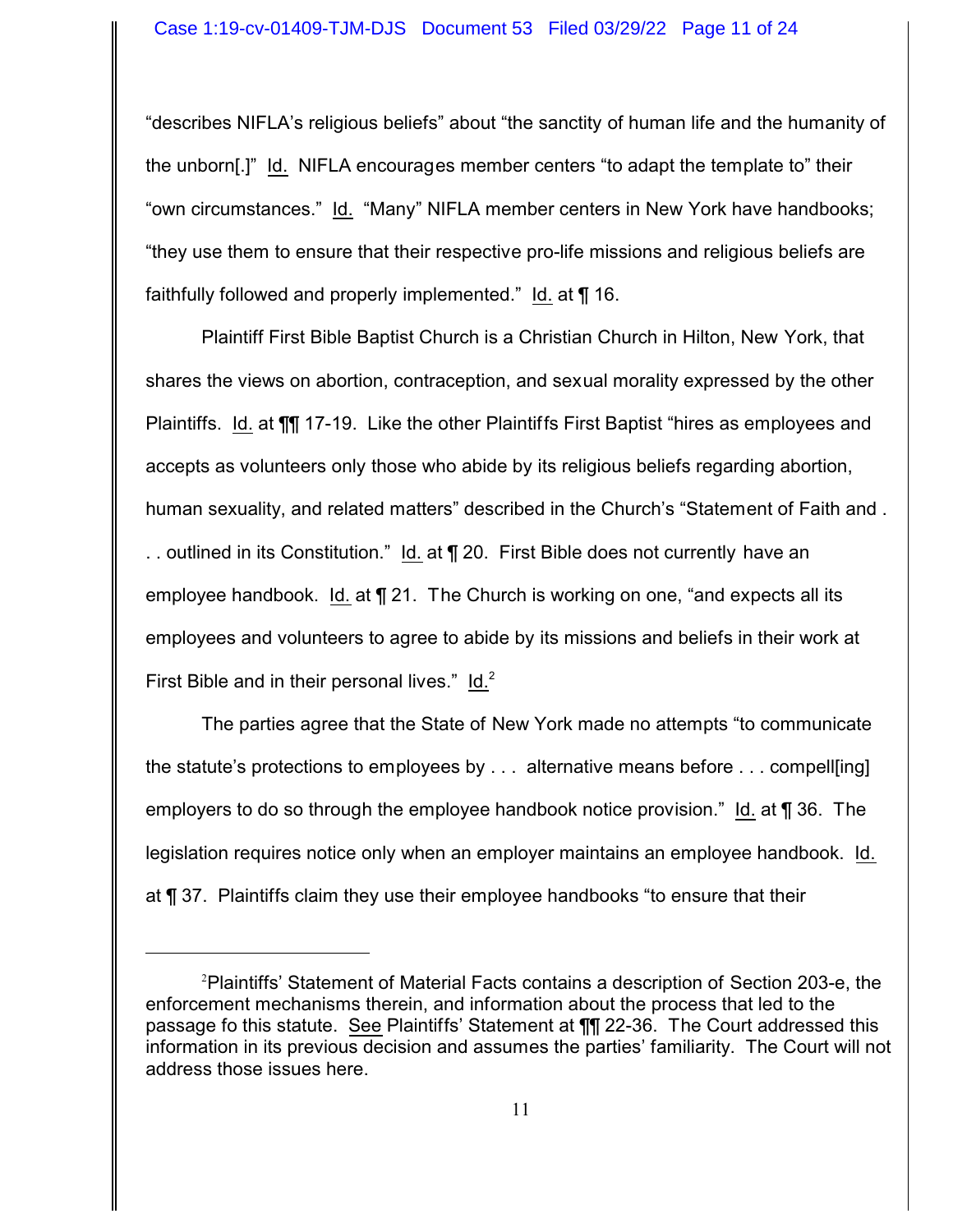"describes NIFLA's religious beliefs" about "the sanctity of human life and the humanity of the unborn[.]" Id. NIFLA encourages member centers "to adapt the template to" their "own circumstances." Id. "Many" NIFLA member centers in New York have handbooks; "they use them to ensure that their respective pro-life missions and religious beliefs are faithfully followed and properly implemented." Id. at ¶ 16.

Plaintiff First Bible Baptist Church is a Christian Church in Hilton, New York, that shares the views on abortion, contraception, and sexual morality expressed by the other Plaintiffs. Id. at  $\P\P$  17-19. Like the other Plaintiffs First Baptist "hires as employees and accepts as volunteers only those who abide by its religious beliefs regarding abortion, human sexuality, and related matters" described in the Church's "Statement of Faith and . .. outlined in its Constitution." Id. at ¶ 20. First Bible does not currently have an employee handbook. Id. at ¶ 21. The Church is working on one, "and expects all its employees and volunteers to agree to abide by its missions and beliefs in their work at First Bible and in their personal lives."  $\underline{Id.}^2$ 

The parties agree that the State of New York made no attempts "to communicate the statute's protections to employees by . . . alternative means before . . . compell[ing] employers to do so through the employee handbook notice provision." Id. at ¶ 36. The legislation requires notice only when an employer maintains an employee handbook. Id. at ¶ 37. Plaintiffs claim they use their employee handbooks "to ensure that their

<sup>2</sup>Plaintiffs' Statement of Material Facts contains a description of Section 203-e, the enforcement mechanisms therein, and information about the process that led to the passage fo this statute. See Plaintiffs' Statement at ¶¶ 22-36. The Court addressed this information in its previous decision and assumes the parties' familiarity. The Court will not address those issues here.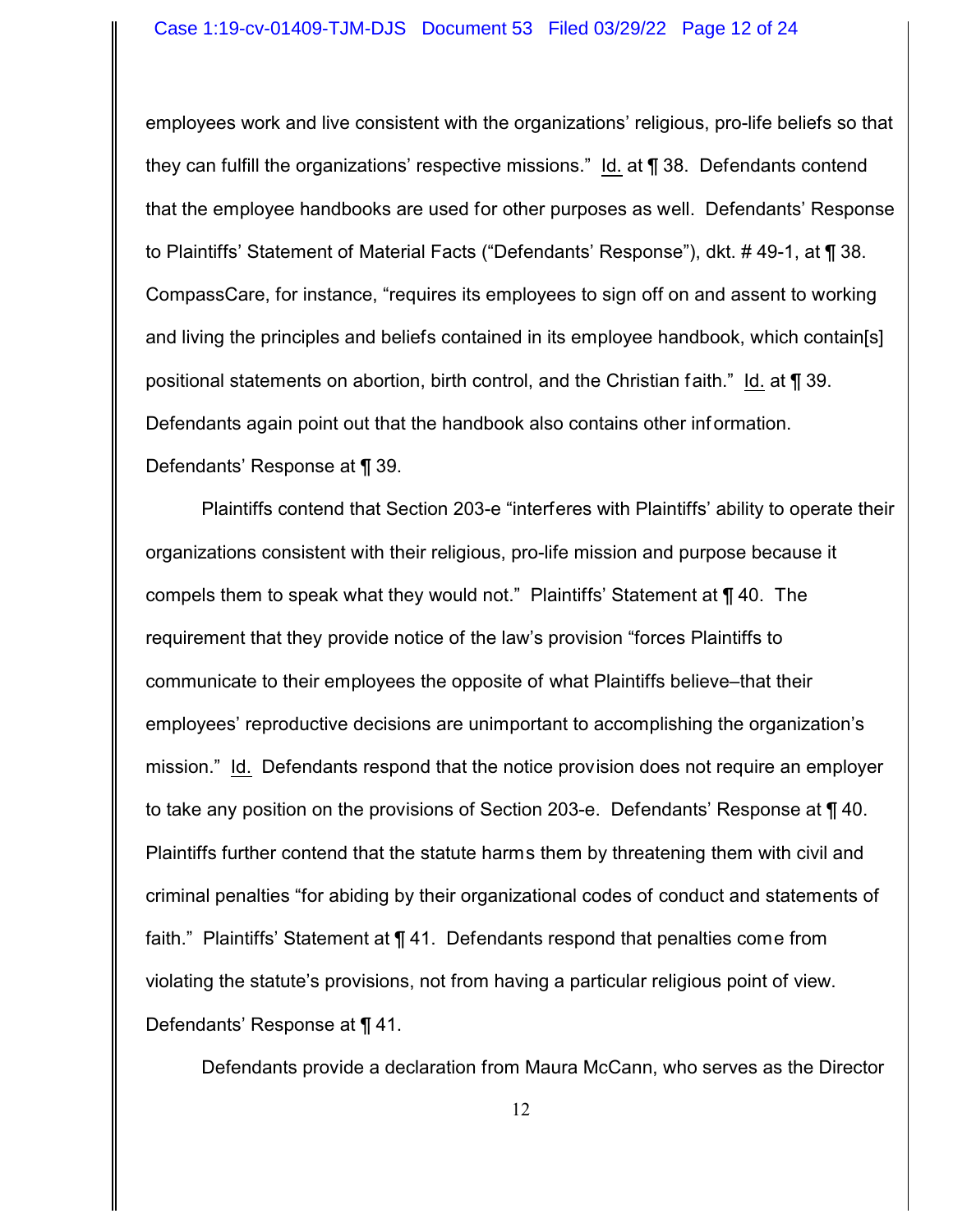#### Case 1:19-cv-01409-TJM-DJS Document 53 Filed 03/29/22 Page 12 of 24

employees work and live consistent with the organizations' religious, pro-life beliefs so that they can fulfill the organizations' respective missions." Id. at ¶ 38. Defendants contend that the employee handbooks are used for other purposes as well. Defendants' Response to Plaintiffs' Statement of Material Facts ("Defendants' Response"), dkt. # 49-1, at ¶ 38. CompassCare, for instance, "requires its employees to sign off on and assent to working and living the principles and beliefs contained in its employee handbook, which contain[s] positional statements on abortion, birth control, and the Christian faith." Id. at ¶ 39. Defendants again point out that the handbook also contains other inf ormation. Defendants' Response at ¶ 39.

Plaintiffs contend that Section 203-e "interferes with Plaintiffs' ability to operate their organizations consistent with their religious, pro-life mission and purpose because it compels them to speak what they would not." Plaintiffs' Statement at ¶ 40. The requirement that they provide notice of the law's provision "forces Plaintiffs to communicate to their employees the opposite of what Plaintiffs believe–that their employees' reproductive decisions are unimportant to accomplishing the organization's mission." Id. Defendants respond that the notice provision does not require an employer to take any position on the provisions of Section 203-e. Defendants' Response at ¶ 40. Plaintiffs further contend that the statute harms them by threatening them with civil and criminal penalties "for abiding by their organizational codes of conduct and statements of faith." Plaintiffs' Statement at ¶ 41. Defendants respond that penalties come from violating the statute's provisions, not from having a particular religious point of view. Defendants' Response at ¶ 41.

Defendants provide a declaration from Maura McCann, who serves as the Director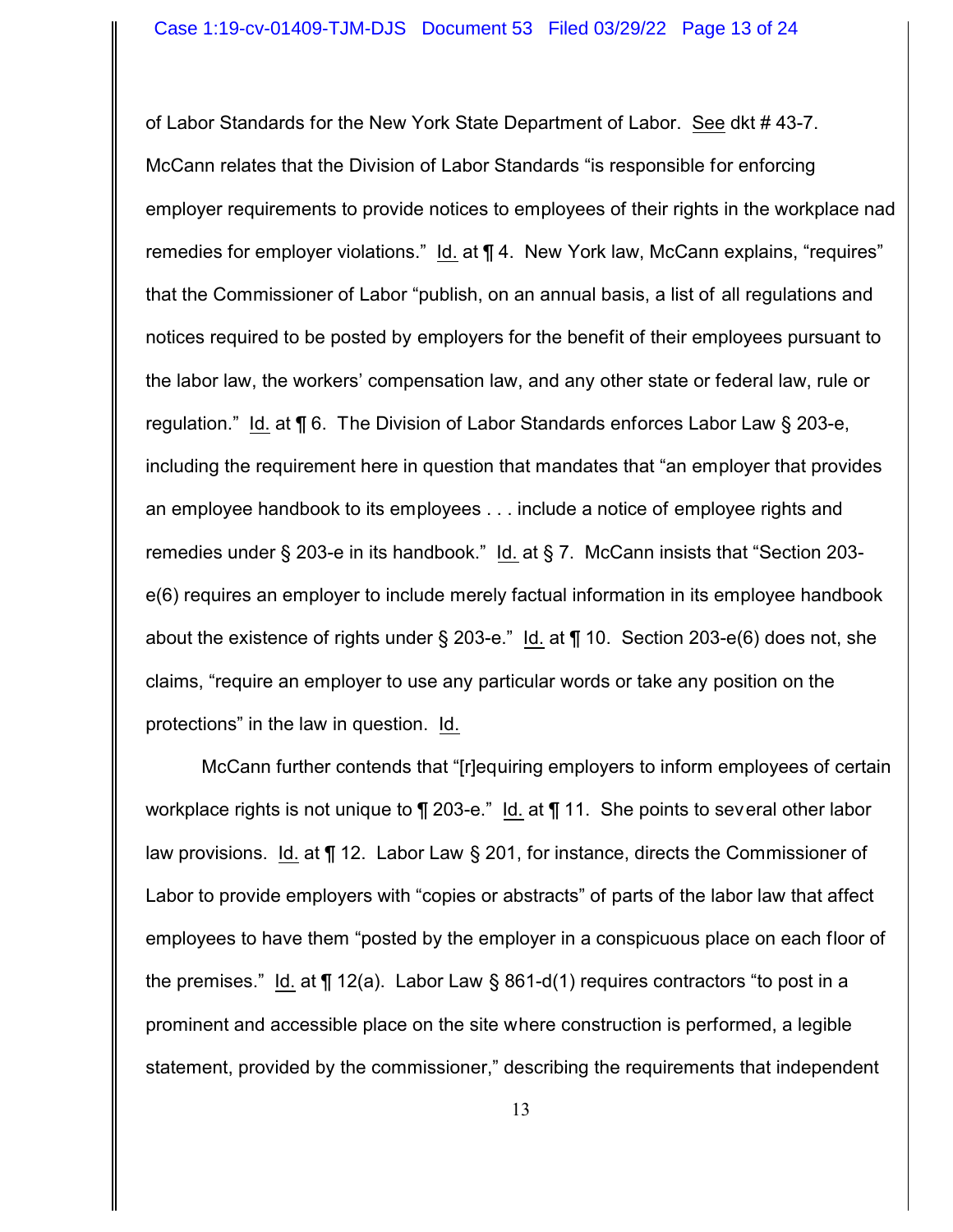of Labor Standards for the New York State Department of Labor. See dkt # 43-7. McCann relates that the Division of Labor Standards "is responsible for enforcing employer requirements to provide notices to employees of their rights in the workplace nad remedies for employer violations." Id. at ¶ 4. New York law, McCann explains, "requires" that the Commissioner of Labor "publish, on an annual basis, a list of all regulations and notices required to be posted by employers for the benefit of their employees pursuant to the labor law, the workers' compensation law, and any other state or federal law, rule or regulation." Id. at ¶ 6. The Division of Labor Standards enforces Labor Law § 203-e, including the requirement here in question that mandates that "an employer that provides an employee handbook to its employees . . . include a notice of employee rights and remedies under § 203-e in its handbook." Id. at § 7. McCann insists that "Section 203 e(6) requires an employer to include merely factual information in its employee handbook about the existence of rights under § 203-e." Id. at ¶ 10. Section 203-e(6) does not, she claims, "require an employer to use any particular words or take any position on the protections" in the law in question. Id.

McCann further contends that "[r]equiring employers to inform employees of certain workplace rights is not unique to  $\P$  203-e." Id. at  $\P$  11. She points to several other labor law provisions. Id. at ¶ 12. Labor Law § 201, for instance, directs the Commissioner of Labor to provide employers with "copies or abstracts" of parts of the labor law that affect employees to have them "posted by the employer in a conspicuous place on each floor of the premises." Id. at  $\P$  12(a). Labor Law § 861-d(1) requires contractors "to post in a prominent and accessible place on the site where construction is performed, a legible statement, provided by the commissioner," describing the requirements that independent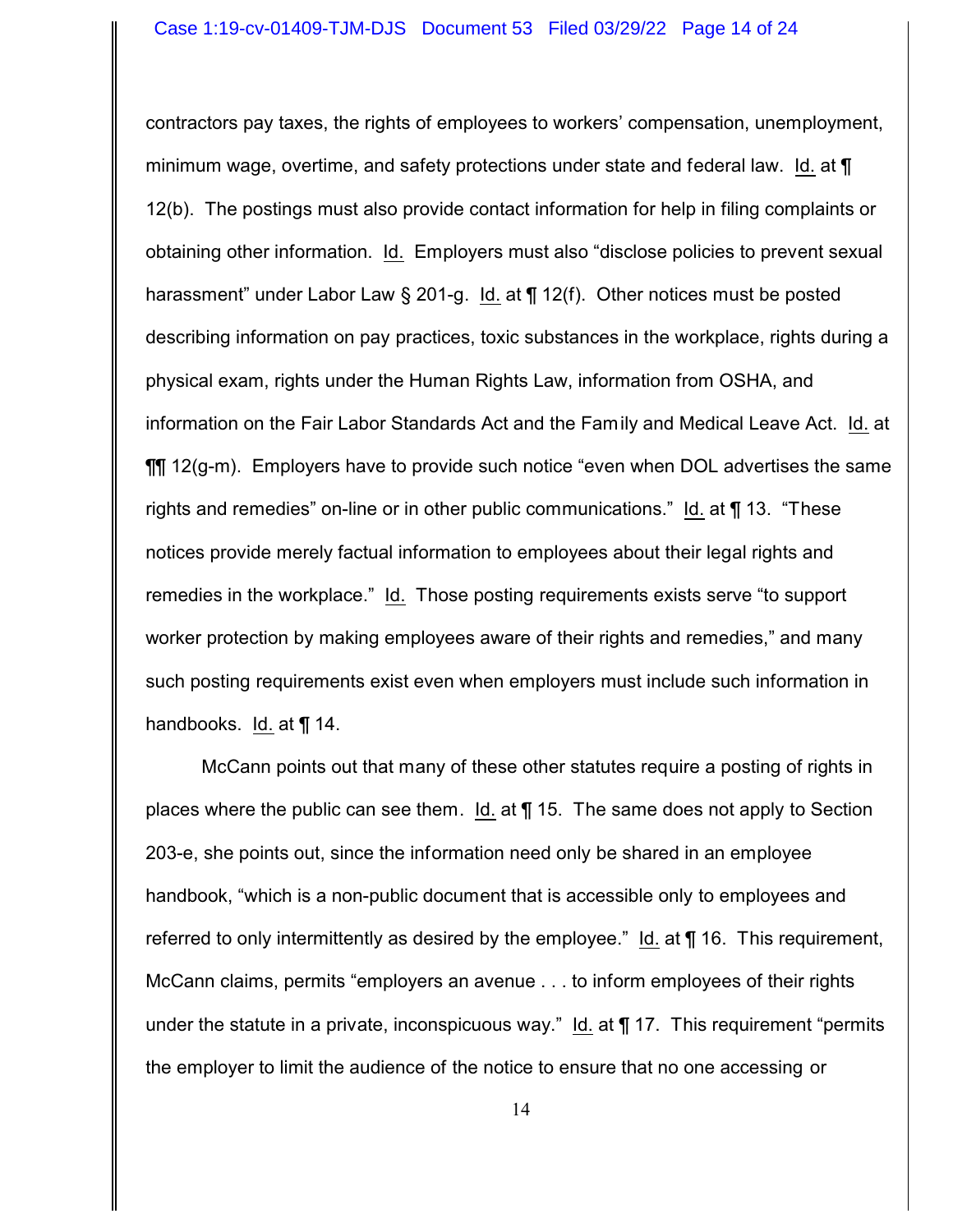contractors pay taxes, the rights of employees to workers' compensation, unemployment, minimum wage, overtime, and safety protections under state and federal law. Id. at  $\P$ 12(b). The postings must also provide contact information for help in filing complaints or obtaining other information. Id. Employers must also "disclose policies to prevent sexual harassment" under Labor Law § 201-g. Id. at ¶ 12(f). Other notices must be posted describing information on pay practices, toxic substances in the workplace, rights during a physical exam, rights under the Human Rights Law, information from OSHA, and information on the Fair Labor Standards Act and the Family and Medical Leave Act. Id. at ¶¶ 12(g-m). Employers have to provide such notice "even when DOL advertises the same rights and remedies" on-line or in other public communications." Id. at ¶ 13. "These notices provide merely factual information to employees about their legal rights and remedies in the workplace." Id. Those posting requirements exists serve "to support worker protection by making employees aware of their rights and remedies," and many such posting requirements exist even when employers must include such information in handbooks. Id. at ¶ 14.

McCann points out that many of these other statutes require a posting of rights in places where the public can see them. Id. at ¶ 15. The same does not apply to Section 203-e, she points out, since the information need only be shared in an employee handbook, "which is a non-public document that is accessible only to employees and referred to only intermittently as desired by the employee." Id. at  $\P$  16. This requirement, McCann claims, permits "employers an avenue . . . to inform employees of their rights under the statute in a private, inconspicuous way." Id. at ¶ 17. This requirement "permits the employer to limit the audience of the notice to ensure that no one accessing or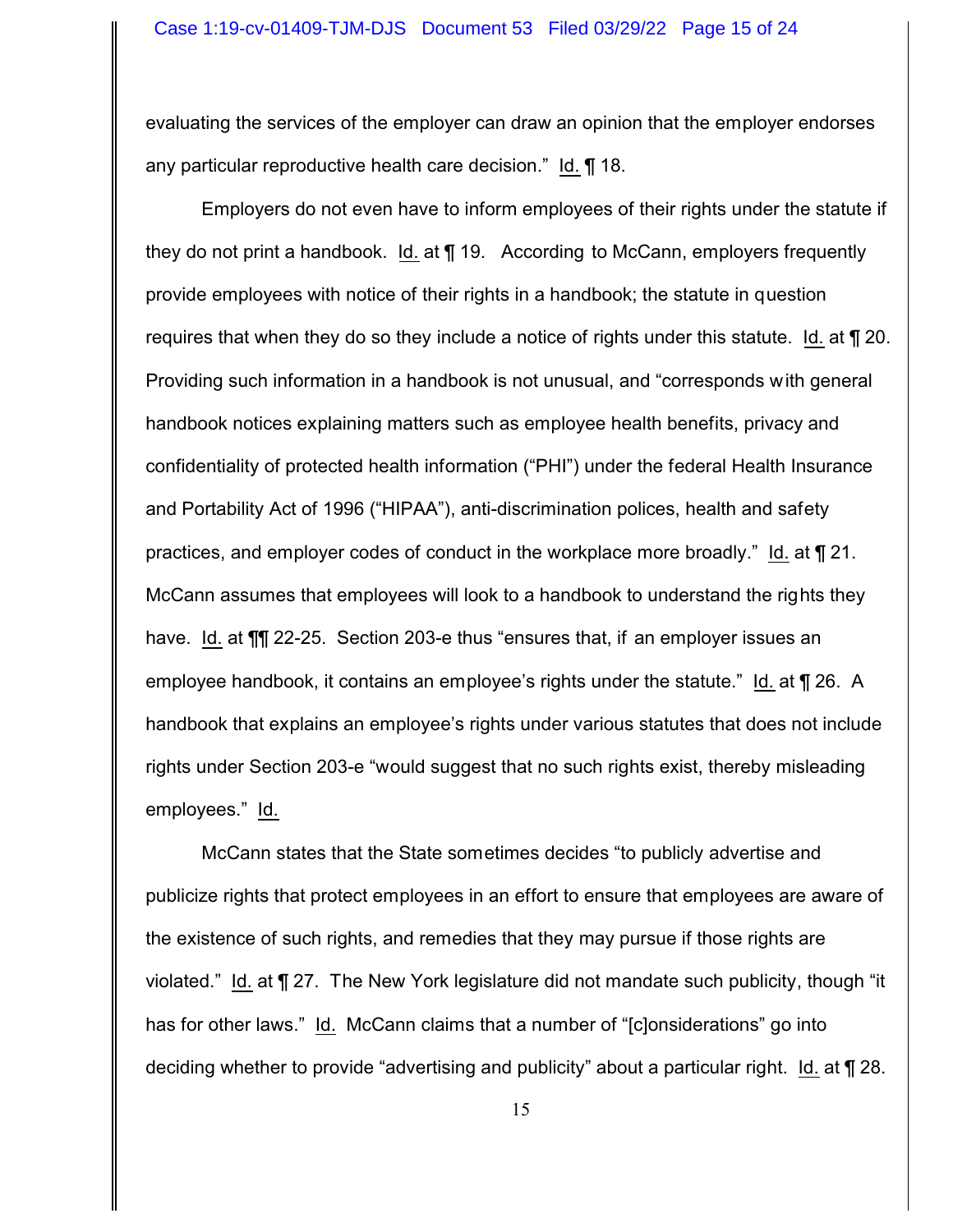evaluating the services of the employer can draw an opinion that the employer endorses any particular reproductive health care decision." Id. ¶ 18.

Employers do not even have to inform employees of their rights under the statute if they do not print a handbook. Id. at ¶ 19. According to McCann, employers frequently provide employees with notice of their rights in a handbook; the statute in question requires that when they do so they include a notice of rights under this statute. Id. at ¶ 20. Providing such information in a handbook is not unusual, and "corresponds with general handbook notices explaining matters such as employee health benefits, privacy and confidentiality of protected health information ("PHI") under the federal Health Insurance and Portability Act of 1996 ("HIPAA"), anti-discrimination polices, health and safety practices, and employer codes of conduct in the workplace more broadly." Id. at ¶ 21. McCann assumes that employees will look to a handbook to understand the rights they have. Id. at  $\P$ [ 22-25. Section 203-e thus "ensures that, if an employer issues an employee handbook, it contains an employee's rights under the statute." Id. at ¶ 26. A handbook that explains an employee's rights under various statutes that does not include rights under Section 203-e "would suggest that no such rights exist, thereby misleading employees." Id.

McCann states that the State sometimes decides "to publicly advertise and publicize rights that protect employees in an effort to ensure that employees are aware of the existence of such rights, and remedies that they may pursue if those rights are violated." Id. at ¶ 27. The New York legislature did not mandate such publicity, though "it has for other laws." Id. McCann claims that a number of "[c]onsiderations" go into deciding whether to provide "advertising and publicity" about a particular right. Id. at ¶ 28.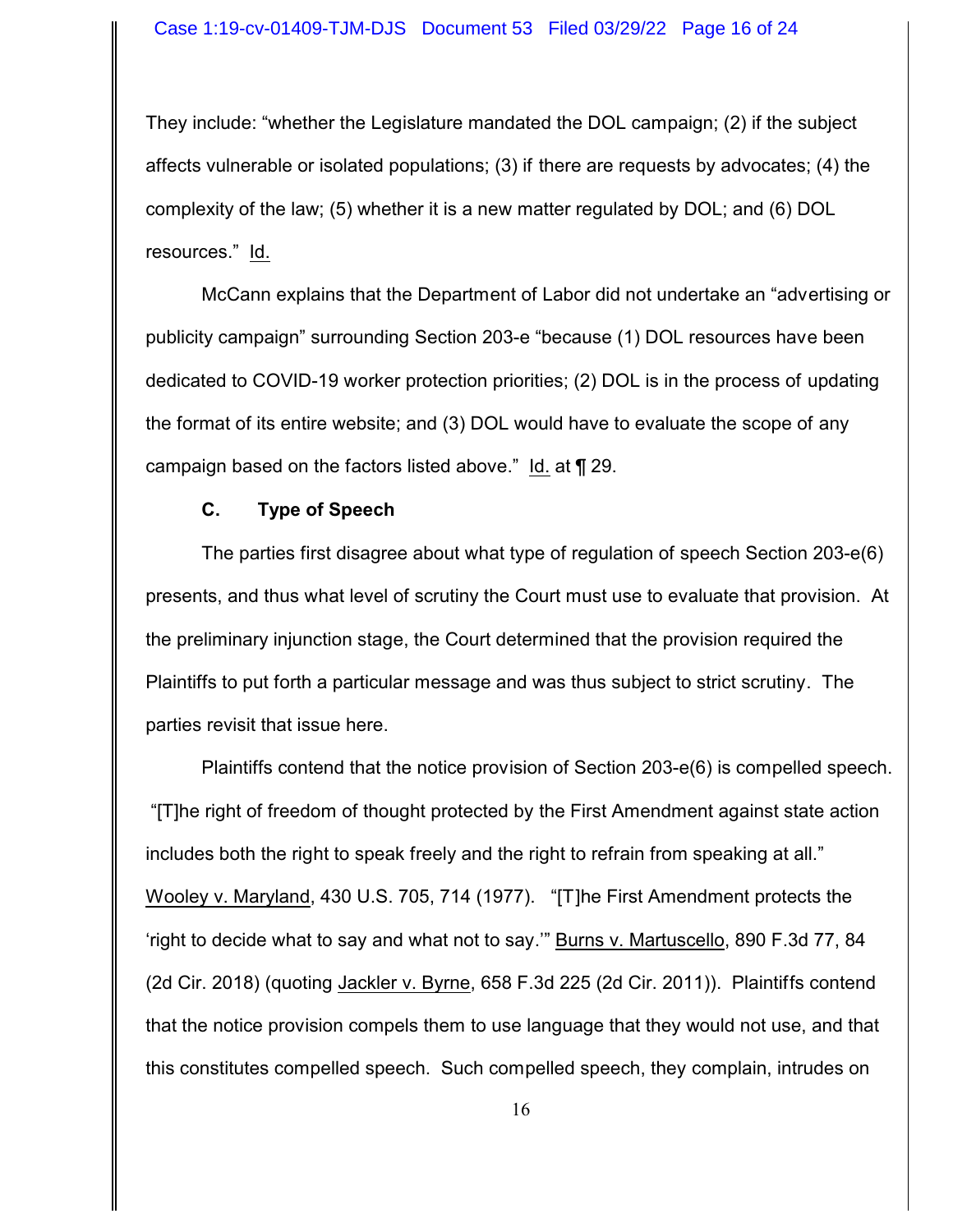They include: "whether the Legislature mandated the DOL campaign; (2) if the subject affects vulnerable or isolated populations; (3) if there are requests by advocates; (4) the complexity of the law; (5) whether it is a new matter regulated by DOL; and (6) DOL resources." Id.

McCann explains that the Department of Labor did not undertake an "advertising or publicity campaign" surrounding Section 203-e "because (1) DOL resources have been dedicated to COVID-19 worker protection priorities; (2) DOL is in the process of updating the format of its entire website; and (3) DOL would have to evaluate the scope of any campaign based on the factors listed above." Id. at ¶ 29.

## **C. Type of Speech**

The parties first disagree about what type of regulation of speech Section 203-e(6) presents, and thus what level of scrutiny the Court must use to evaluate that provision. At the preliminary injunction stage, the Court determined that the provision required the Plaintiffs to put forth a particular message and was thus subject to strict scrutiny. The parties revisit that issue here.

Plaintiffs contend that the notice provision of Section 203-e(6) is compelled speech. "[T]he right of freedom of thought protected by the First Amendment against state action includes both the right to speak freely and the right to refrain from speaking at all." Wooley v. Maryland, 430 U.S. 705, 714 (1977). "[T]he First Amendment protects the 'right to decide what to say and what not to say.'" Burns v. Martuscello, 890 F.3d 77, 84 (2d Cir. 2018) (quoting Jackler v. Byrne, 658 F.3d 225 (2d Cir. 2011)). Plaintiffs contend that the notice provision compels them to use language that they would not use, and that this constitutes compelled speech. Such compelled speech, they complain, intrudes on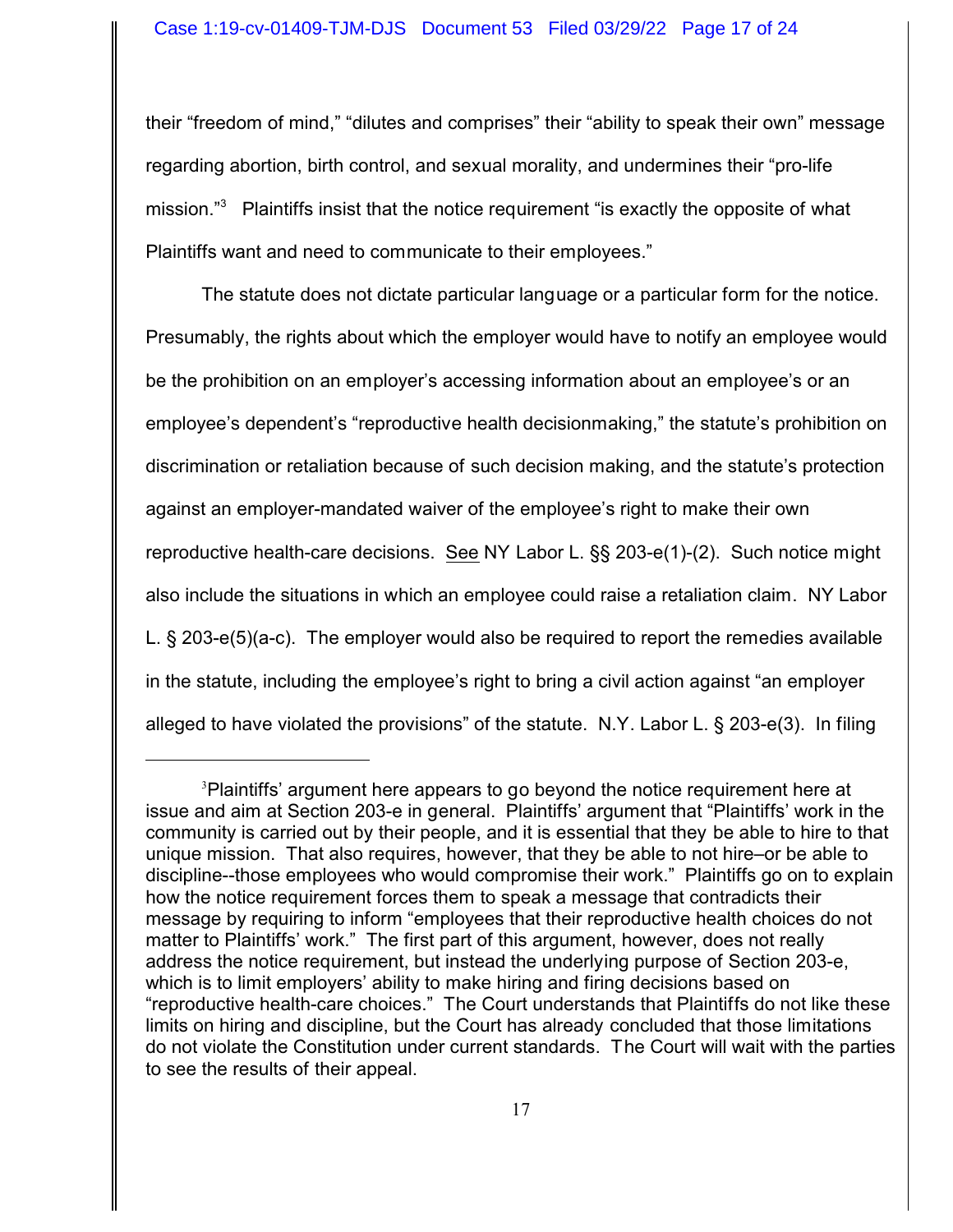their "freedom of mind," "dilutes and comprises" their "ability to speak their own" message regarding abortion, birth control, and sexual morality, and undermines their "pro-life mission."<sup>3</sup> Plaintiffs insist that the notice requirement "is exactly the opposite of what Plaintiffs want and need to communicate to their employees."

The statute does not dictate particular language or a particular form for the notice. Presumably, the rights about which the employer would have to notify an employee would be the prohibition on an employer's accessing information about an employee's or an employee's dependent's "reproductive health decisionmaking," the statute's prohibition on discrimination or retaliation because of such decision making, and the statute's protection against an employer-mandated waiver of the employee's right to make their own reproductive health-care decisions. See NY Labor L. §§ 203-e(1)-(2). Such notice might also include the situations in which an employee could raise a retaliation claim. NY Labor L. § 203-e(5)(a-c). The employer would also be required to report the remedies available in the statute, including the employee's right to bring a civil action against "an employer alleged to have violated the provisions" of the statute. N.Y. Labor L. § 203-e(3). In filing

<sup>3</sup>Plaintiffs' argument here appears to go beyond the notice requirement here at issue and aim at Section 203-e in general. Plaintiffs' argument that "Plaintiffs' work in the community is carried out by their people, and it is essential that they be able to hire to that unique mission. That also requires, however, that they be able to not hire–or be able to discipline--those employees who would compromise their work." Plaintiffs go on to explain how the notice requirement forces them to speak a message that contradicts their message by requiring to inform "employees that their reproductive health choices do not matter to Plaintiffs' work." The first part of this argument, however, does not really address the notice requirement, but instead the underlying purpose of Section 203-e, which is to limit employers' ability to make hiring and firing decisions based on "reproductive health-care choices." The Court understands that Plaintiffs do not like these limits on hiring and discipline, but the Court has already concluded that those limitations do not violate the Constitution under current standards. The Court will wait with the parties to see the results of their appeal.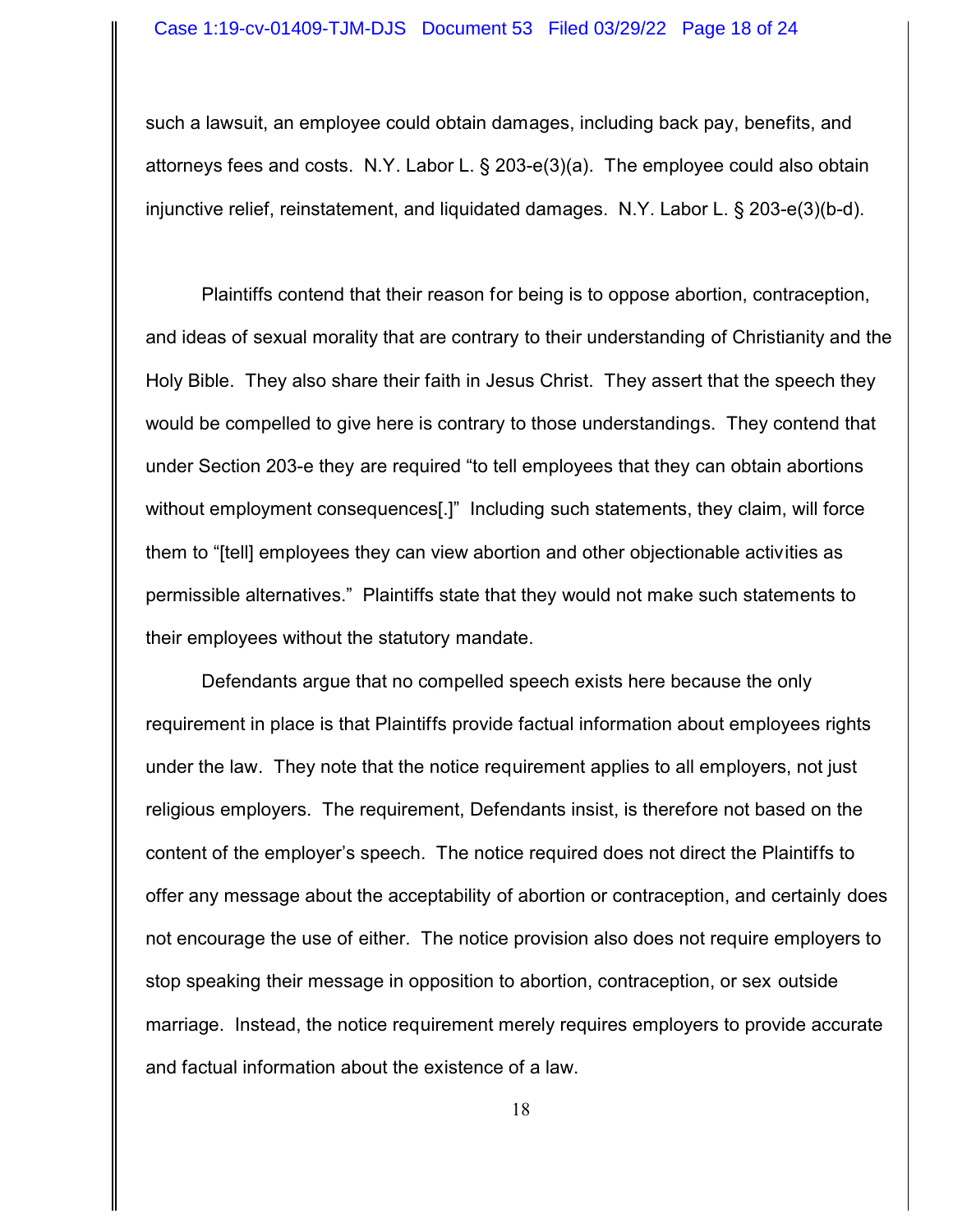such a lawsuit, an employee could obtain damages, including back pay, benefits, and attorneys fees and costs. N.Y. Labor L. § 203-e(3)(a). The employee could also obtain injunctive relief, reinstatement, and liquidated damages. N.Y. Labor L. § 203-e(3)(b-d).

Plaintiffs contend that their reason for being is to oppose abortion, contraception, and ideas of sexual morality that are contrary to their understanding of Christianity and the Holy Bible. They also share their faith in Jesus Christ. They assert that the speech they would be compelled to give here is contrary to those understandings. They contend that under Section 203-e they are required "to tell employees that they can obtain abortions without employment consequences[.]" Including such statements, they claim, will force them to "[tell] employees they can view abortion and other objectionable activities as permissible alternatives." Plaintiffs state that they would not make such statements to their employees without the statutory mandate.

Defendants argue that no compelled speech exists here because the only requirement in place is that Plaintiffs provide factual information about employees rights under the law. They note that the notice requirement applies to all employers, not just religious employers. The requirement, Defendants insist, is therefore not based on the content of the employer's speech. The notice required does not direct the Plaintiffs to offer any message about the acceptability of abortion or contraception, and certainly does not encourage the use of either. The notice provision also does not require employers to stop speaking their message in opposition to abortion, contraception, or sex outside marriage. Instead, the notice requirement merely requires employers to provide accurate and factual information about the existence of a law.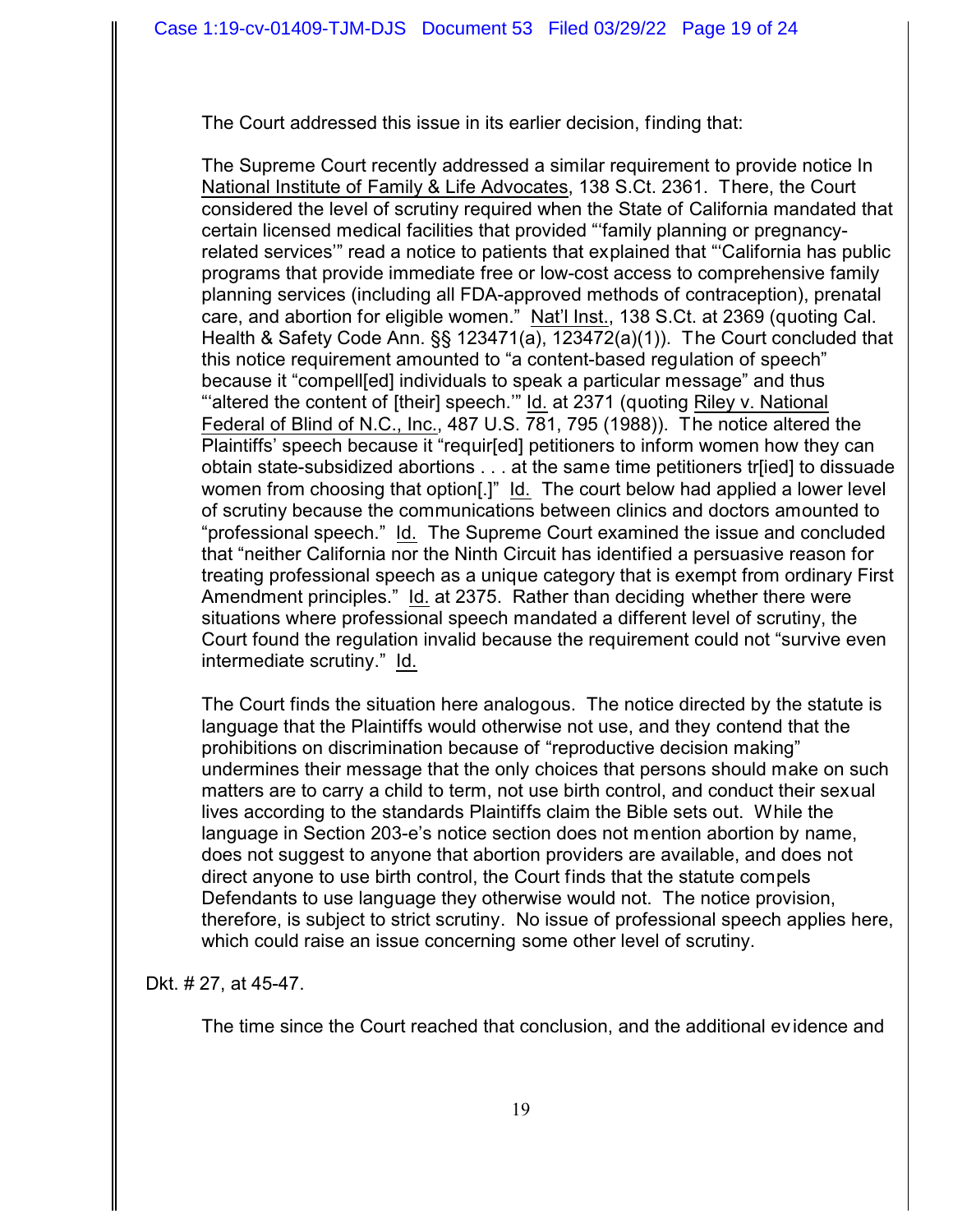The Court addressed this issue in its earlier decision, finding that:

The Supreme Court recently addressed a similar requirement to provide notice In National Institute of Family & Life Advocates, 138 S.Ct. 2361. There, the Court considered the level of scrutiny required when the State of California mandated that certain licensed medical facilities that provided "'family planning or pregnancyrelated services'" read a notice to patients that explained that "'California has public programs that provide immediate free or low-cost access to comprehensive family planning services (including all FDA-approved methods of contraception), prenatal care, and abortion for eligible women."Nat'l Inst., 138 S.Ct. at 2369 (quoting Cal. Health & Safety Code Ann. §§ 123471(a), 123472(a)(1)). The Court concluded that this notice requirement amounted to "a content-based regulation of speech" because it "compell[ed] individuals to speak a particular message" and thus "altered the content of [their] speech." Id. at 2371 (quoting Riley v. National Federal of Blind of N.C., Inc., 487 U.S. 781, 795 (1988)). The notice altered the Plaintiffs' speech because it "requir[ed] petitioners to inform women how they can obtain state-subsidized abortions . . . at the same time petitioners tr[ied] to dissuade women from choosing that option[.]" Id. The court below had applied a lower level of scrutiny because the communications between clinics and doctors amounted to "professional speech." Id. The Supreme Court examined the issue and concluded that "neither California nor the Ninth Circuit has identified a persuasive reason for treating professional speech as a unique category that is exempt from ordinary First Amendment principles." Id. at 2375. Rather than deciding whether there were situations where professional speech mandated a different level of scrutiny, the Court found the regulation invalid because the requirement could not "survive even intermediate scrutiny." Id.

The Court finds the situation here analogous. The notice directed by the statute is language that the Plaintiffs would otherwise not use, and they contend that the prohibitions on discrimination because of "reproductive decision making" undermines their message that the only choices that persons should make on such matters are to carry a child to term, not use birth control, and conduct their sexual lives according to the standards Plaintiffs claim the Bible sets out. While the language in Section 203-e's notice section does not mention abortion by name, does not suggest to anyone that abortion providers are available, and does not direct anyone to use birth control, the Court finds that the statute compels Defendants to use language they otherwise would not. The notice provision, therefore, is subject to strict scrutiny. No issue of professional speech applies here, which could raise an issue concerning some other level of scrutiny.

Dkt. # 27, at 45-47.

The time since the Court reached that conclusion, and the additional ev idence and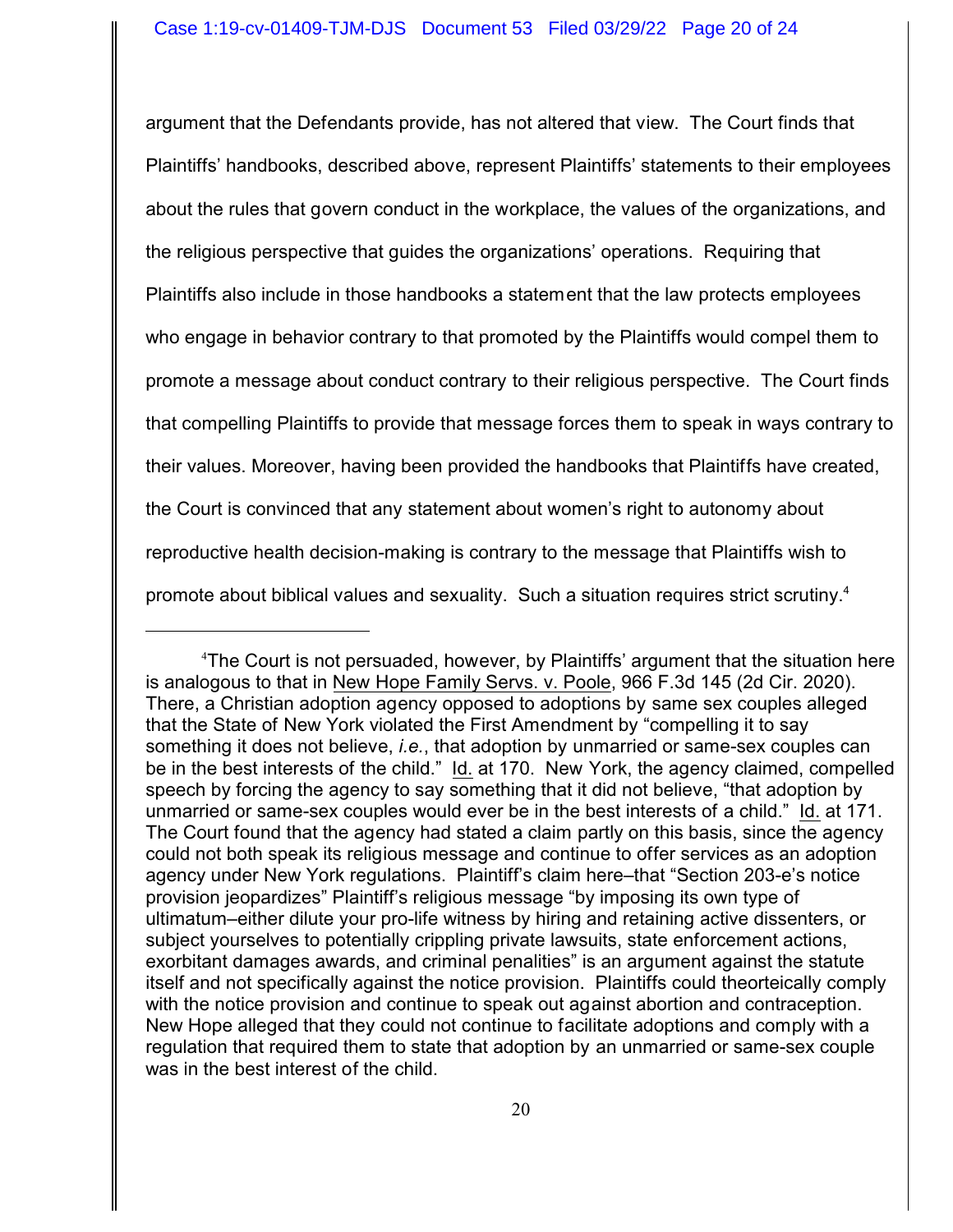argument that the Defendants provide, has not altered that view. The Court finds that Plaintiffs' handbooks, described above, represent Plaintiffs' statements to their employees about the rules that govern conduct in the workplace, the values of the organizations, and the religious perspective that guides the organizations' operations. Requiring that Plaintiffs also include in those handbooks a statement that the law protects employees who engage in behavior contrary to that promoted by the Plaintiffs would compel them to promote a message about conduct contrary to their religious perspective. The Court finds that compelling Plaintiffs to provide that message forces them to speak in ways contrary to their values. Moreover, having been provided the handbooks that Plaintiffs have created, the Court is convinced that any statement about women's right to autonomy about reproductive health decision-making is contrary to the message that Plaintiffs wish to promote about biblical values and sexuality. Such a situation requires strict scrutiny.<sup>4</sup>

<sup>4</sup>The Court is not persuaded, however, by Plaintiffs' argument that the situation here is analogous to that in New Hope Family Servs. v. Poole, 966 F.3d 145 (2d Cir. 2020). There, a Christian adoption agency opposed to adoptions by same sex couples alleged that the State of New York violated the First Amendment by "compelling it to say something it does not believe, *i.e.*, that adoption by unmarried or same-sex couples can be in the best interests of the child." Id. at 170. New York, the agency claimed, compelled speech by forcing the agency to say something that it did not believe, "that adoption by unmarried or same-sex couples would ever be in the best interests of a child." Id. at 171. The Court found that the agency had stated a claim partly on this basis, since the agency could not both speak its religious message and continue to offer services as an adoption agency under New York regulations. Plaintiff's claim here–that "Section 203-e's notice provision jeopardizes" Plaintiff's religious message "by imposing its own type of ultimatum–either dilute your pro-life witness by hiring and retaining active dissenters, or subject yourselves to potentially crippling private lawsuits, state enforcement actions, exorbitant damages awards, and criminal penalities" is an argument against the statute itself and not specifically against the notice provision. Plaintiffs could theorteically comply with the notice provision and continue to speak out against abortion and contraception. New Hope alleged that they could not continue to facilitate adoptions and comply with a regulation that required them to state that adoption by an unmarried or same-sex couple was in the best interest of the child.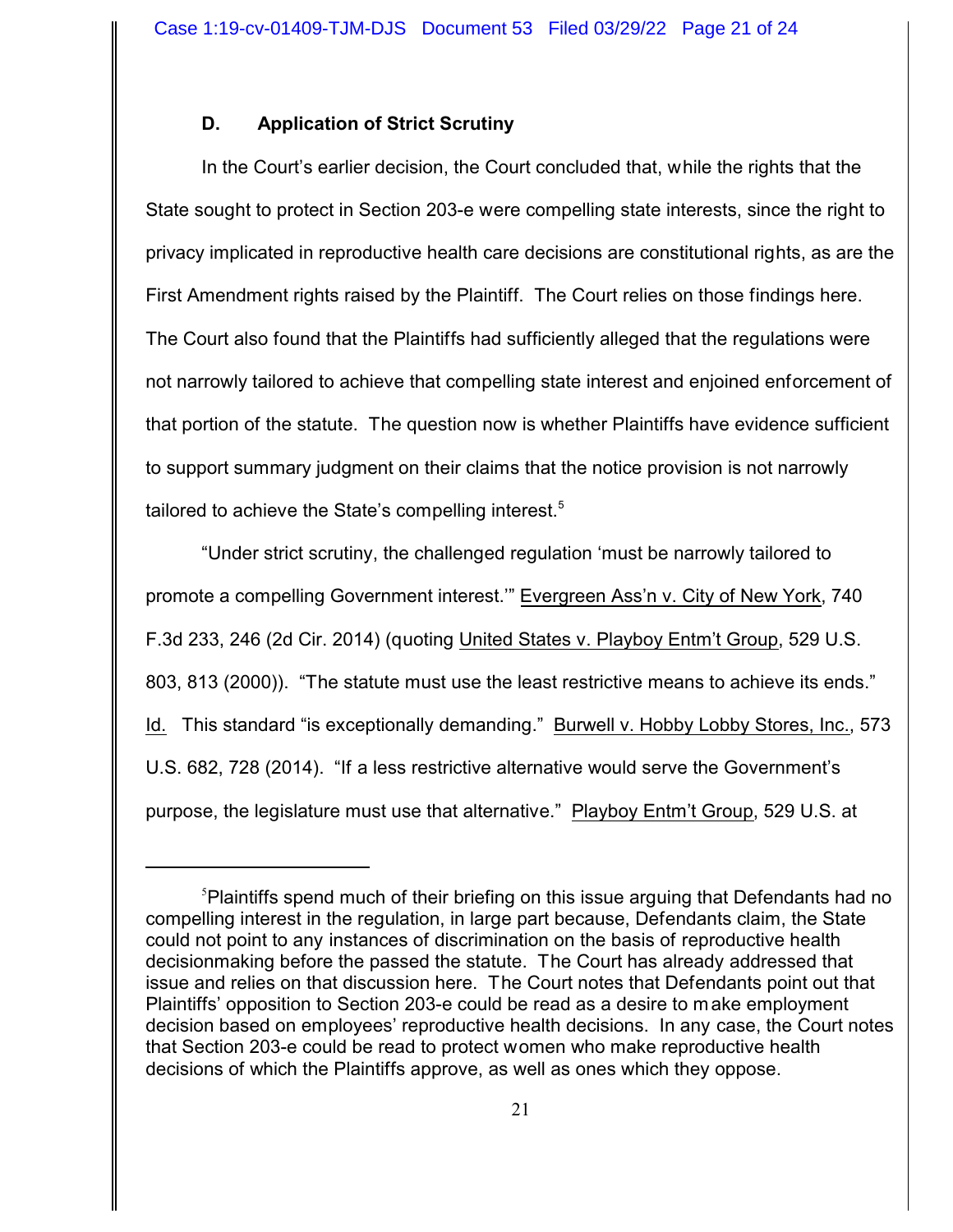# **D. Application of Strict Scrutiny**

In the Court's earlier decision, the Court concluded that, while the rights that the State sought to protect in Section 203-e were compelling state interests, since the right to privacy implicated in reproductive health care decisions are constitutional rights, as are the First Amendment rights raised by the Plaintiff. The Court relies on those findings here. The Court also found that the Plaintiffs had sufficiently alleged that the regulations were not narrowly tailored to achieve that compelling state interest and enjoined enforcement of that portion of the statute. The question now is whether Plaintiffs have evidence sufficient to support summary judgment on their claims that the notice provision is not narrowly tailored to achieve the State's compelling interest.<sup>5</sup>

"Under strict scrutiny, the challenged regulation 'must be narrowly tailored to promote a compelling Government interest.'" Evergreen Ass'n v. City of New York, 740 F.3d 233, 246 (2d Cir. 2014) (quoting United States v. Playboy Entm't Group, 529 U.S. 803, 813 (2000)). "The statute must use the least restrictive means to achieve its ends." Id. This standard "is exceptionally demanding." Burwell v. Hobby Lobby Stores, Inc., 573 U.S. 682, 728 (2014). "If a less restrictive alternative would serve the Government's purpose, the legislature must use that alternative." Playboy Entm't Group, 529 U.S. at

<sup>5</sup>Plaintiffs spend much of their briefing on this issue arguing that Defendants had no compelling interest in the regulation, in large part because, Defendants claim, the State could not point to any instances of discrimination on the basis of reproductive health decisionmaking before the passed the statute. The Court has already addressed that issue and relies on that discussion here. The Court notes that Defendants point out that Plaintiffs' opposition to Section 203-e could be read as a desire to make employment decision based on employees' reproductive health decisions. In any case, the Court notes that Section 203-e could be read to protect women who make reproductive health decisions of which the Plaintiffs approve, as well as ones which they oppose.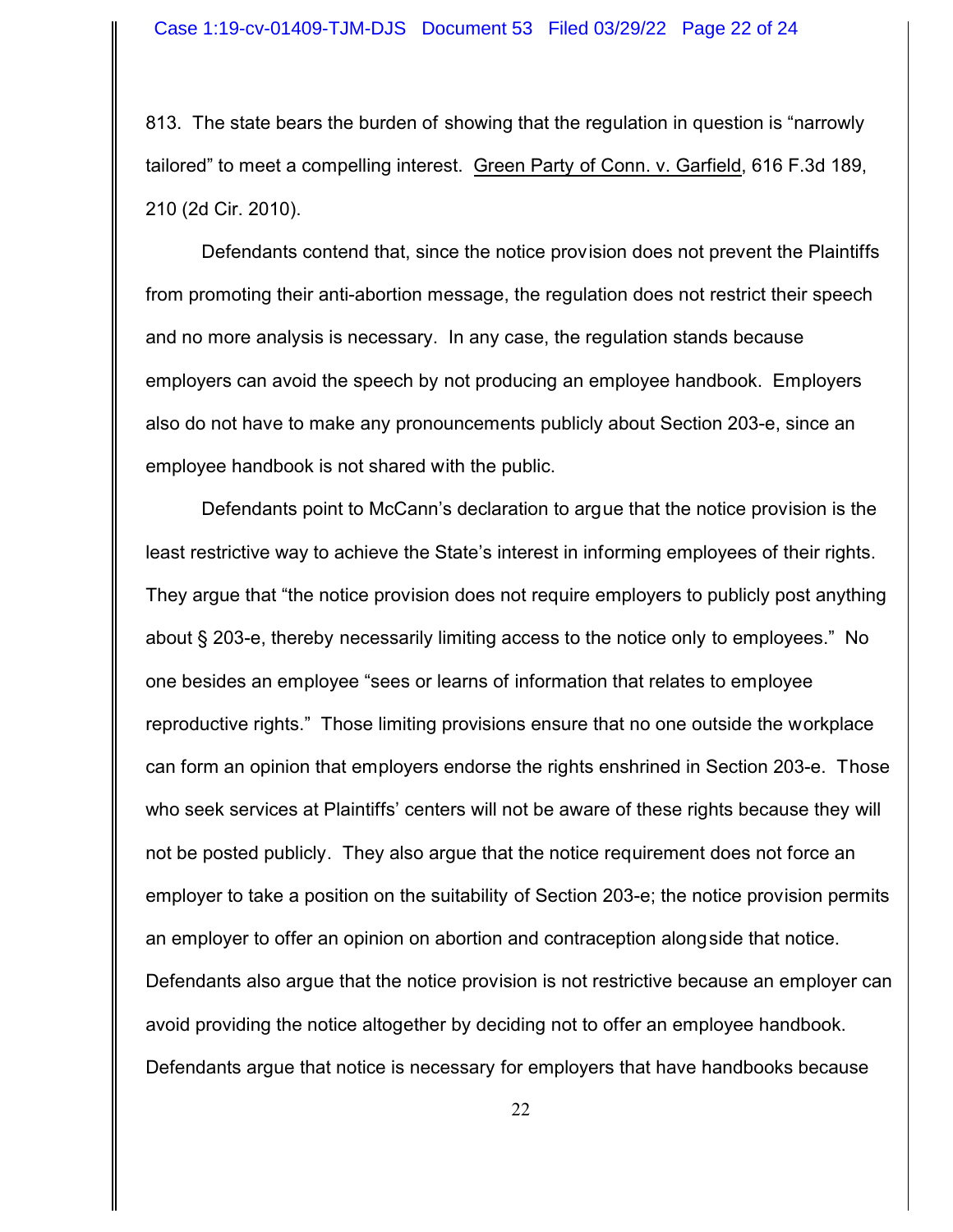813. The state bears the burden of showing that the regulation in question is "narrowly tailored" to meet a compelling interest. Green Party of Conn. v. Garfield, 616 F.3d 189, 210 (2d Cir. 2010).

Defendants contend that, since the notice provision does not prevent the Plaintiffs from promoting their anti-abortion message, the regulation does not restrict their speech and no more analysis is necessary. In any case, the regulation stands because employers can avoid the speech by not producing an employee handbook. Employers also do not have to make any pronouncements publicly about Section 203-e, since an employee handbook is not shared with the public.

Defendants point to McCann's declaration to argue that the notice provision is the least restrictive way to achieve the State's interest in informing employees of their rights. They argue that "the notice provision does not require employers to publicly post anything about § 203-e, thereby necessarily limiting access to the notice only to employees." No one besides an employee "sees or learns of information that relates to employee reproductive rights." Those limiting provisions ensure that no one outside the workplace can form an opinion that employers endorse the rights enshrined in Section 203-e. Those who seek services at Plaintiffs' centers will not be aware of these rights because they will not be posted publicly. They also argue that the notice requirement does not force an employer to take a position on the suitability of Section 203-e; the notice provision permits an employer to offer an opinion on abortion and contraception alongside that notice. Defendants also argue that the notice provision is not restrictive because an employer can avoid providing the notice altogether by deciding not to offer an employee handbook. Defendants argue that notice is necessary for employers that have handbooks because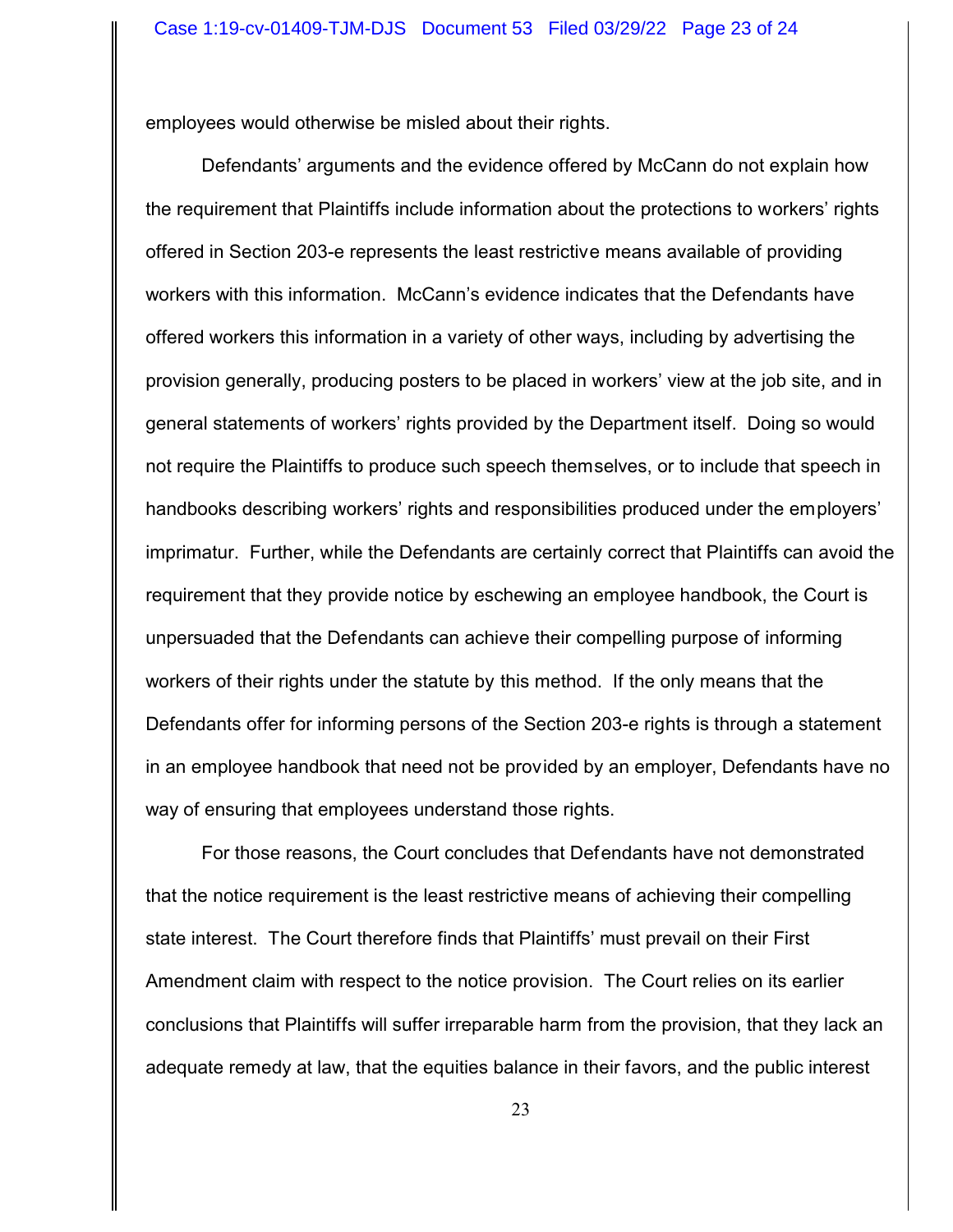employees would otherwise be misled about their rights.

Defendants' arguments and the evidence offered by McCann do not explain how the requirement that Plaintiffs include information about the protections to workers' rights offered in Section 203-e represents the least restrictive means available of providing workers with this information. McCann's evidence indicates that the Defendants have offered workers this information in a variety of other ways, including by advertising the provision generally, producing posters to be placed in workers' view at the job site, and in general statements of workers' rights provided by the Department itself. Doing so would not require the Plaintiffs to produce such speech themselves, or to include that speech in handbooks describing workers' rights and responsibilities produced under the employers' imprimatur. Further, while the Defendants are certainly correct that Plaintiffs can avoid the requirement that they provide notice by eschewing an employee handbook, the Court is unpersuaded that the Defendants can achieve their compelling purpose of informing workers of their rights under the statute by this method. If the only means that the Defendants offer for informing persons of the Section 203-e rights is through a statement in an employee handbook that need not be provided by an employer, Defendants have no way of ensuring that employees understand those rights.

For those reasons, the Court concludes that Defendants have not demonstrated that the notice requirement is the least restrictive means of achieving their compelling state interest. The Court therefore finds that Plaintiffs' must prevail on their First Amendment claim with respect to the notice provision. The Court relies on its earlier conclusions that Plaintiffs will suffer irreparable harm from the provision, that they lack an adequate remedy at law, that the equities balance in their favors, and the public interest